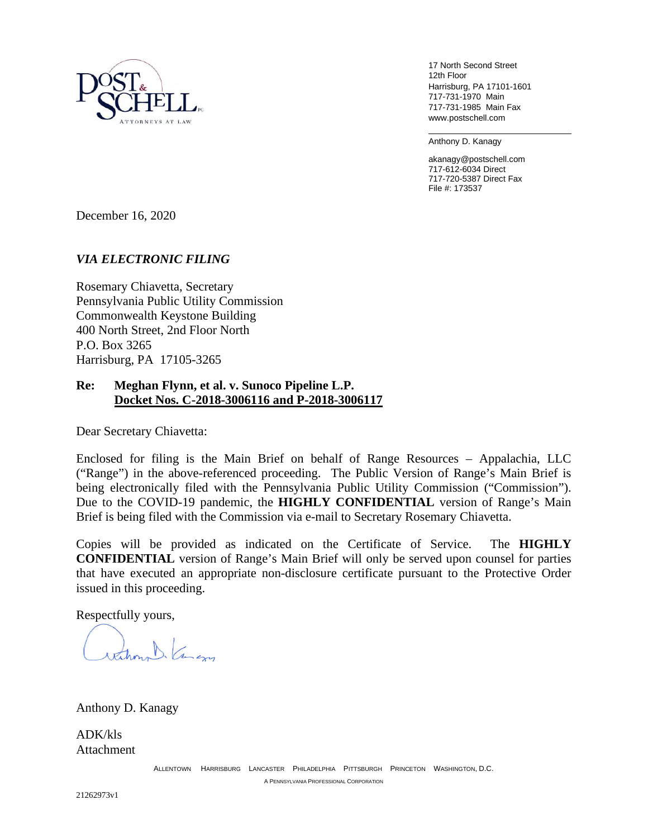

17 North Second Street 12th Floor Harrisburg, PA 17101-1601 717-731-1970 Main 717-731-1985 Main Fax www.postschell.com

Anthony D. Kanagy

akanagy@postschell.com 717-612-6034 Direct 717-720-5387 Direct Fax File #: 173537

December 16, 2020

## *VIA ELECTRONIC FILING*

Rosemary Chiavetta, Secretary Pennsylvania Public Utility Commission Commonwealth Keystone Building 400 North Street, 2nd Floor North P.O. Box 3265 Harrisburg, PA 17105-3265

## **Re: Meghan Flynn, et al. v. Sunoco Pipeline L.P. Docket Nos. C-2018-3006116 and P-2018-3006117**

Dear Secretary Chiavetta:

Enclosed for filing is the Main Brief on behalf of Range Resources – Appalachia, LLC ("Range") in the above-referenced proceeding. The Public Version of Range's Main Brief is being electronically filed with the Pennsylvania Public Utility Commission ("Commission"). Due to the COVID-19 pandemic, the **HIGHLY CONFIDENTIAL** version of Range's Main Brief is being filed with the Commission via e-mail to Secretary Rosemary Chiavetta.

Copies will be provided as indicated on the Certificate of Service. The **HIGHLY CONFIDENTIAL** version of Range's Main Brief will only be served upon counsel for parties that have executed an appropriate non-disclosure certificate pursuant to the Protective Order issued in this proceeding.

Respectfully yours,

D. Comen

Anthony D. Kanagy

ADK/kls **Attachment**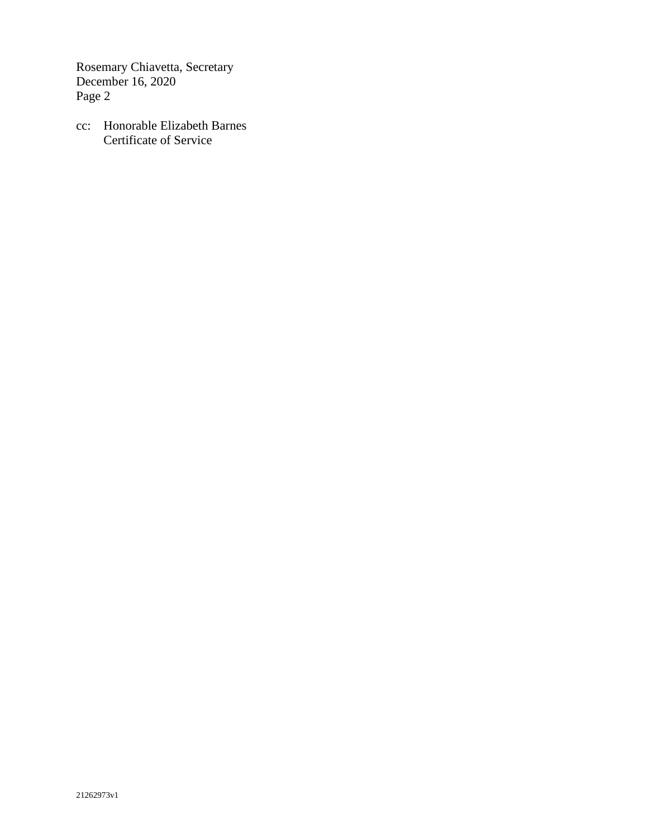Rosemary Chiavetta, Secretary December 16, 2020 Page 2

cc: Honorable Elizabeth Barnes Certificate of Service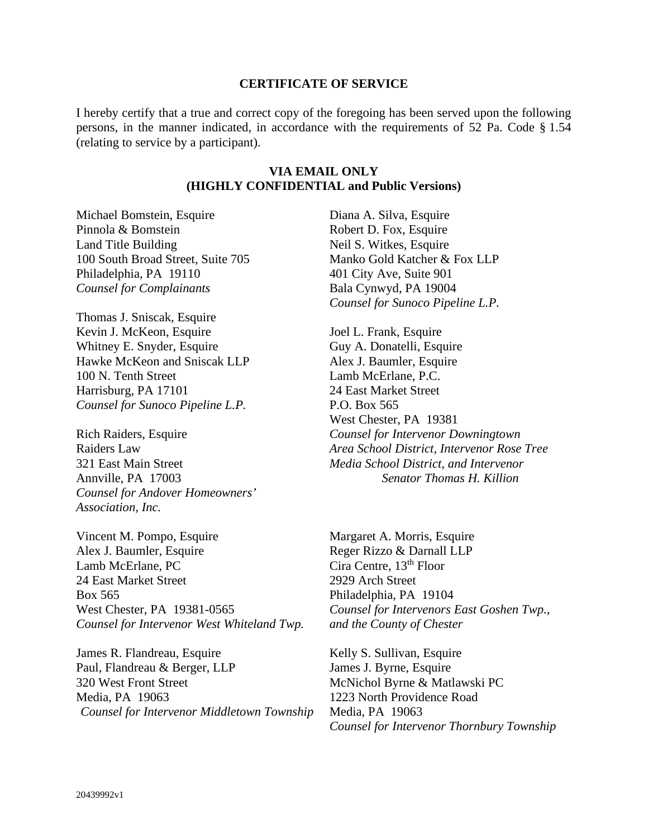## **CERTIFICATE OF SERVICE**

I hereby certify that a true and correct copy of the foregoing has been served upon the following persons, in the manner indicated, in accordance with the requirements of 52 Pa. Code § 1.54 (relating to service by a participant).

## **VIA EMAIL ONLY (HIGHLY CONFIDENTIAL and Public Versions)**

Michael Bomstein, Esquire Pinnola & Bomstein Land Title Building 100 South Broad Street, Suite 705 Philadelphia, PA 19110 *Counsel for Complainants* 

Thomas J. Sniscak, Esquire Kevin J. McKeon, Esquire Whitney E. Snyder, Esquire Hawke McKeon and Sniscak LLP 100 N. Tenth Street Harrisburg, PA 17101 *Counsel for Sunoco Pipeline L.P.* 

Rich Raiders, Esquire Raiders Law 321 East Main Street Annville, PA 17003 *Counsel for Andover Homeowners' Association, Inc.*

Vincent M. Pompo, Esquire Alex J. Baumler, Esquire Lamb McErlane, PC 24 East Market Street Box 565 West Chester, PA 19381-0565 *Counsel for Intervenor West Whiteland Twp.*

James R. Flandreau, Esquire Paul, Flandreau & Berger, LLP 320 West Front Street Media, PA 19063 *Counsel for Intervenor Middletown Township* Diana A. Silva, Esquire Robert D. Fox, Esquire Neil S. Witkes, Esquire Manko Gold Katcher & Fox LLP 401 City Ave, Suite 901 Bala Cynwyd, PA 19004 *Counsel for Sunoco Pipeline L.P.* 

Joel L. Frank, Esquire Guy A. Donatelli, Esquire Alex J. Baumler, Esquire Lamb McErlane, P.C. 24 East Market Street P.O. Box 565 West Chester, PA 19381 *Counsel for Intervenor Downingtown Area School District, Intervenor Rose Tree Media School District, and Intervenor Senator Thomas H. Killion*

Margaret A. Morris, Esquire Reger Rizzo & Darnall LLP Cira Centre, 13<sup>th</sup> Floor 2929 Arch Street Philadelphia, PA 19104 *Counsel for Intervenors East Goshen Twp., and the County of Chester*

Kelly S. Sullivan, Esquire James J. Byrne, Esquire McNichol Byrne & Matlawski PC 1223 North Providence Road Media, PA 19063 *Counsel for Intervenor Thornbury Township*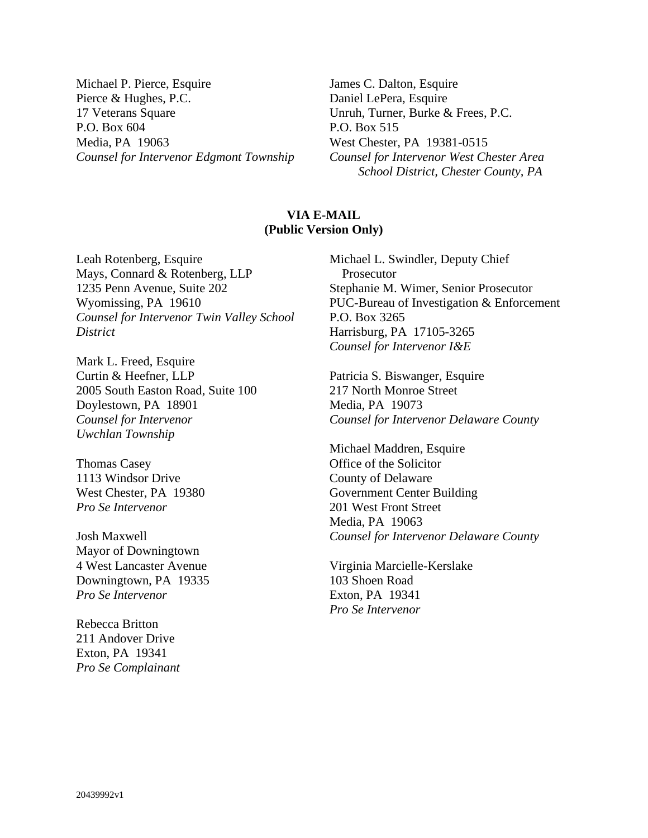Michael P. Pierce, Esquire Pierce & Hughes, P.C. 17 Veterans Square P.O. Box 604 Media, PA 19063 *Counsel for Intervenor Edgmont Township* James C. Dalton, Esquire Daniel LePera, Esquire Unruh, Turner, Burke & Frees, P.C. P.O. Box 515 West Chester, PA 19381-0515 *Counsel for Intervenor West Chester Area School District, Chester County, PA*

# **VIA E-MAIL (Public Version Only)**

Leah Rotenberg, Esquire Mays, Connard & Rotenberg, LLP 1235 Penn Avenue, Suite 202 Wyomissing, PA 19610 *Counsel for Intervenor Twin Valley School District*

Mark L. Freed, Esquire Curtin & Heefner, LLP 2005 South Easton Road, Suite 100 Doylestown, PA 18901 *Counsel for Intervenor Uwchlan Township*

Thomas Casey 1113 Windsor Drive West Chester, PA 19380 *Pro Se Intervenor* 

Josh Maxwell Mayor of Downingtown 4 West Lancaster Avenue Downingtown, PA 19335 *Pro Se Intervenor*

Rebecca Britton 211 Andover Drive Exton, PA 19341 *Pro Se Complainant* Michael L. Swindler, Deputy Chief Prosecutor Stephanie M. Wimer, Senior Prosecutor PUC-Bureau of Investigation & Enforcement P.O. Box 3265 Harrisburg, PA 17105-3265 *Counsel for Intervenor I&E*

Patricia S. Biswanger, Esquire 217 North Monroe Street Media, PA 19073 *Counsel for Intervenor Delaware County* 

Michael Maddren, Esquire Office of the Solicitor County of Delaware Government Center Building 201 West Front Street Media, PA 19063 *Counsel for Intervenor Delaware County*

Virginia Marcielle-Kerslake 103 Shoen Road Exton, PA 19341 *Pro Se Intervenor*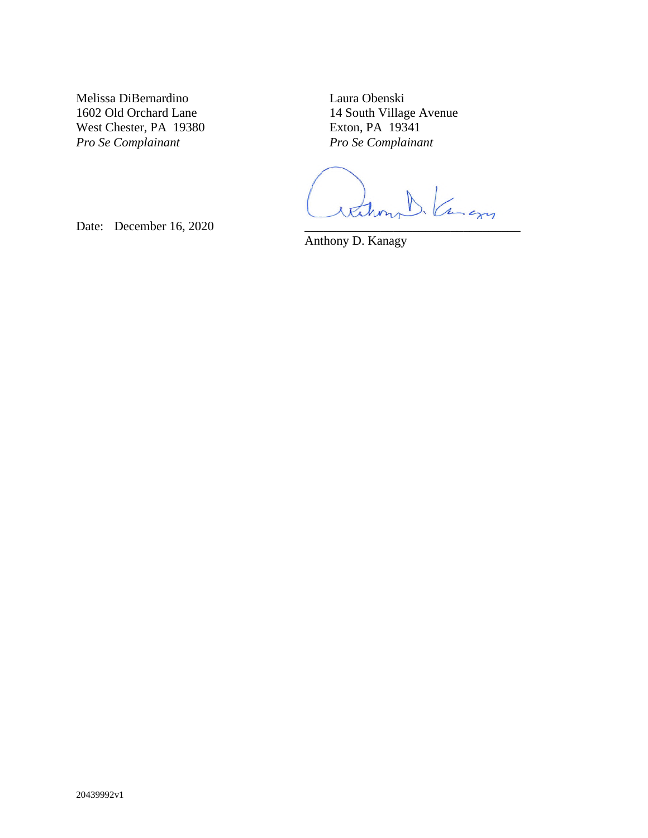Melissa DiBernardino 1602 Old Orchard Lane West Chester, PA 19380 *Pro Se Complainant*

Laura Obenski 14 South Village Avenue Exton, PA 19341 *Pro Se Complainant*

Date: December 16, 2020

Anthony D. Kanagy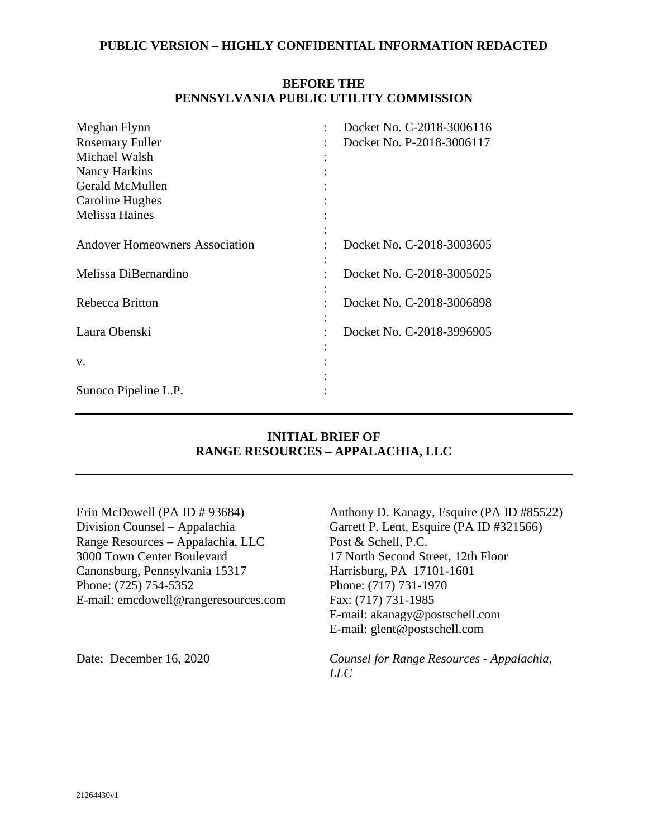# **BEFORE THE PENNSYLVANIA PUBLIC UTILITY COMMISSION**

| Meghan Flynn                          | Docket No. C-2018-3006116 |
|---------------------------------------|---------------------------|
| <b>Rosemary Fuller</b>                | Docket No. P-2018-3006117 |
| Michael Walsh                         |                           |
| Nancy Harkins                         |                           |
| Gerald McMullen                       |                           |
| Caroline Hughes                       |                           |
| <b>Melissa Haines</b>                 |                           |
|                                       |                           |
| <b>Andover Homeowners Association</b> | Docket No. C-2018-3003605 |
|                                       |                           |
| Melissa DiBernardino                  | Docket No. C-2018-3005025 |
|                                       |                           |
| Rebecca Britton                       | Docket No. C-2018-3006898 |
|                                       |                           |
| Laura Obenski                         | Docket No. C-2018-3996905 |
|                                       |                           |
| V.                                    |                           |
|                                       |                           |
| Sunoco Pipeline L.P.                  |                           |

## **INITIAL BRIEF OF RANGE RESOURCES – APPALACHIA, LLC**

Erin McDowell (PA ID # 93684) Division Counsel – Appalachia Range Resources – Appalachia, LLC 3000 Town Center Boulevard Canonsburg, Pennsylvania 15317 Phone: (725) 754-5352 E-mail: emcdowell@rangeresources.com

Anthony D. Kanagy, Esquire (PA ID #85522) Garrett P. Lent, Esquire (PA ID #321566) Post & Schell, P.C. 17 North Second Street, 12th Floor Harrisburg, PA 17101-1601 Phone: (717) 731-1970 Fax: (717) 731-1985 E-mail: akanagy@postschell.com E-mail: glent@postschell.com

Date: December 16, 2020 *Counsel for Range Resources - Appalachia, LLC*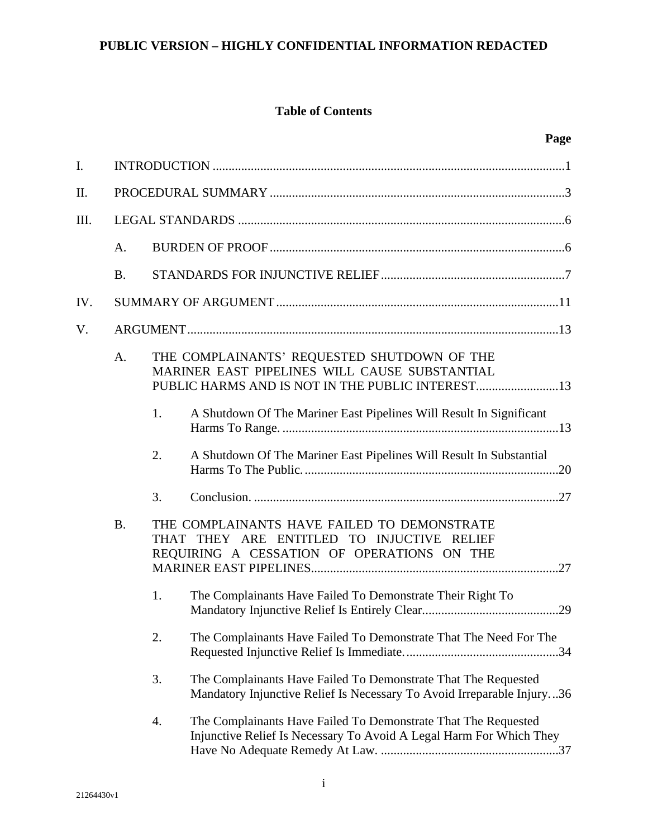# **Table of Contents**

| $\mathbf{I}$ . |           |    |                                                                                                                                          |
|----------------|-----------|----|------------------------------------------------------------------------------------------------------------------------------------------|
| Π.             |           |    |                                                                                                                                          |
| III.           |           |    |                                                                                                                                          |
|                | A.        |    |                                                                                                                                          |
|                | <b>B.</b> |    |                                                                                                                                          |
| IV.            |           |    |                                                                                                                                          |
| V.             |           |    |                                                                                                                                          |
|                | A.        |    | THE COMPLAINANTS' REQUESTED SHUTDOWN OF THE<br>MARINER EAST PIPELINES WILL CAUSE SUBSTANTIAL                                             |
|                |           | 1. | A Shutdown Of The Mariner East Pipelines Will Result In Significant                                                                      |
|                |           | 2. | A Shutdown Of The Mariner East Pipelines Will Result In Substantial                                                                      |
|                |           | 3. |                                                                                                                                          |
|                | <b>B.</b> |    | THE COMPLAINANTS HAVE FAILED TO DEMONSTRATE<br>THAT THEY ARE ENTITLED TO INJUCTIVE RELIEF<br>REQUIRING A CESSATION OF OPERATIONS ON THE  |
|                |           | 1. | The Complainants Have Failed To Demonstrate Their Right To                                                                               |
|                |           | 2. | The Complainants Have Failed To Demonstrate That The Need For The                                                                        |
|                |           | 3. | The Complainants Have Failed To Demonstrate That The Requested<br>Mandatory Injunctive Relief Is Necessary To Avoid Irreparable Injury36 |
|                |           | 4. | The Complainants Have Failed To Demonstrate That The Requested<br>Injunctive Relief Is Necessary To Avoid A Legal Harm For Which They    |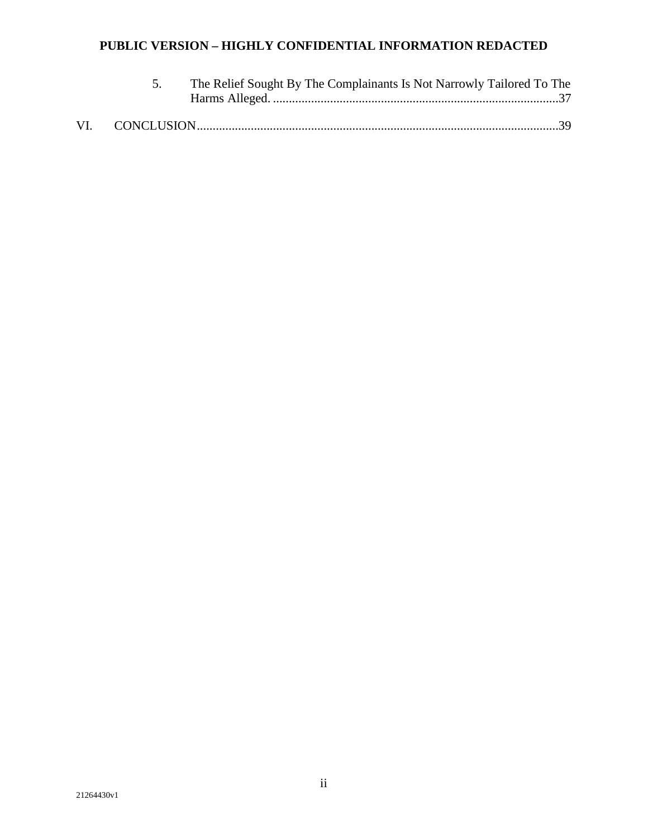|  | The Relief Sought By The Complainants Is Not Narrowly Tailored To The |
|--|-----------------------------------------------------------------------|
|  |                                                                       |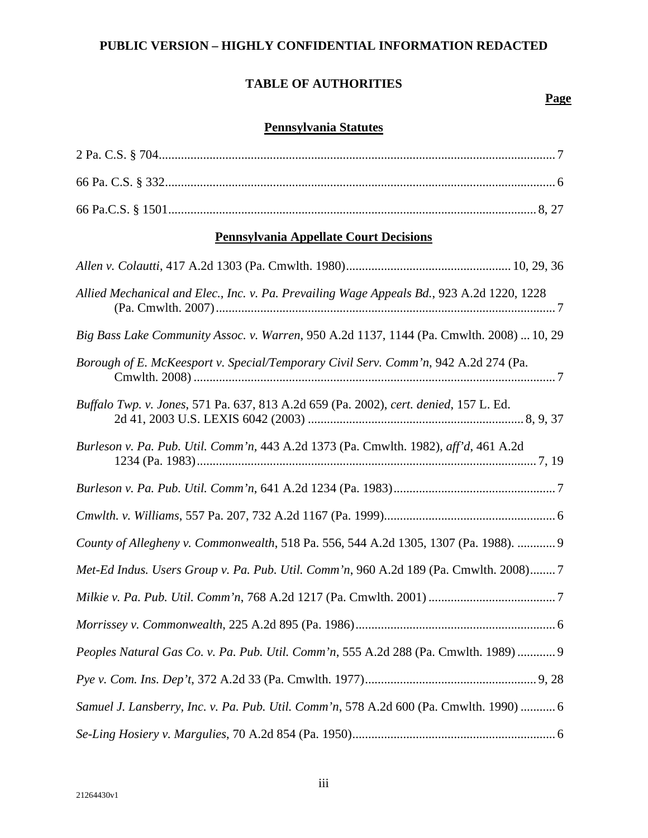# **TABLE OF AUTHORITIES**

## **Page**

# **Pennsylvania Statutes**

| <b>Pennsylvania Appellate Court Decisions</b>                                             |  |  |  |  |
|-------------------------------------------------------------------------------------------|--|--|--|--|
|                                                                                           |  |  |  |  |
| Allied Mechanical and Elec., Inc. v. Pa. Prevailing Wage Appeals Bd., 923 A.2d 1220, 1228 |  |  |  |  |
| Big Bass Lake Community Assoc. v. Warren, 950 A.2d 1137, 1144 (Pa. Cmwlth. 2008)  10, 29  |  |  |  |  |
| Borough of E. McKeesport v. Special/Temporary Civil Serv. Comm'n, 942 A.2d 274 (Pa.       |  |  |  |  |
| Buffalo Twp. v. Jones, 571 Pa. 637, 813 A.2d 659 (Pa. 2002), cert. denied, 157 L. Ed.     |  |  |  |  |
| Burleson v. Pa. Pub. Util. Comm'n, 443 A.2d 1373 (Pa. Cmwlth. 1982), aff'd, 461 A.2d      |  |  |  |  |
|                                                                                           |  |  |  |  |
|                                                                                           |  |  |  |  |
| County of Allegheny v. Commonwealth, 518 Pa. 556, 544 A.2d 1305, 1307 (Pa. 1988).  9      |  |  |  |  |
| Met-Ed Indus. Users Group v. Pa. Pub. Util. Comm'n, 960 A.2d 189 (Pa. Cmwlth. 2008)7      |  |  |  |  |
|                                                                                           |  |  |  |  |
|                                                                                           |  |  |  |  |
| Peoples Natural Gas Co. v. Pa. Pub. Util. Comm'n, 555 A.2d 288 (Pa. Cmwlth. 1989)  9      |  |  |  |  |
|                                                                                           |  |  |  |  |
| Samuel J. Lansberry, Inc. v. Pa. Pub. Util. Comm'n, 578 A.2d 600 (Pa. Cmwlth. 1990)  6    |  |  |  |  |
|                                                                                           |  |  |  |  |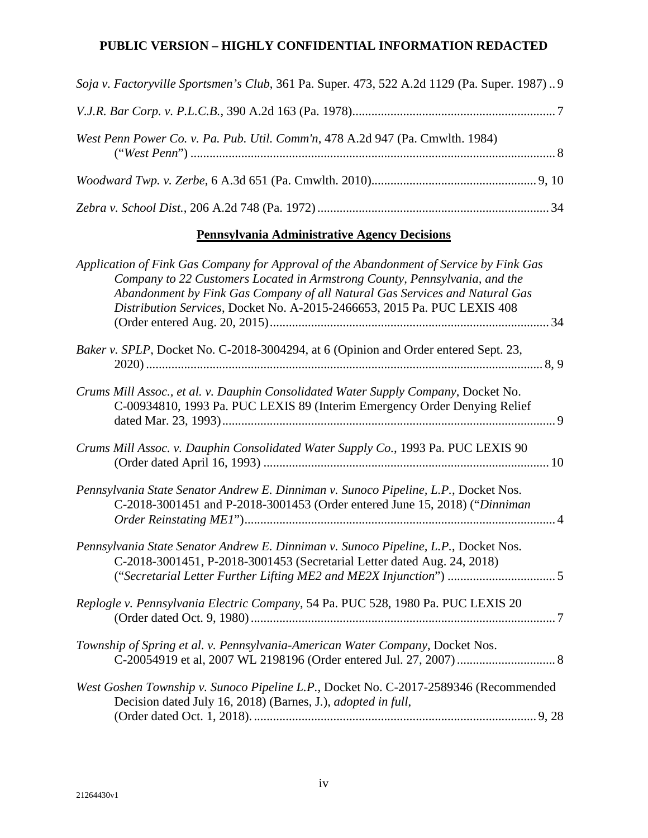| Soja v. Factoryville Sportsmen's Club, 361 Pa. Super. 473, 522 A.2d 1129 (Pa. Super. 1987)9 |  |
|---------------------------------------------------------------------------------------------|--|
|                                                                                             |  |
| West Penn Power Co. v. Pa. Pub. Util. Comm'n, 478 A.2d 947 (Pa. Cmwlth. 1984)               |  |
|                                                                                             |  |
|                                                                                             |  |

# **Pennsylvania Administrative Agency Decisions**

| Application of Fink Gas Company for Approval of the Abandonment of Service by Fink Gas<br>Company to 22 Customers Located in Armstrong County, Pennsylvania, and the<br>Abandonment by Fink Gas Company of all Natural Gas Services and Natural Gas<br>Distribution Services, Docket No. A-2015-2466653, 2015 Pa. PUC LEXIS 408 |
|---------------------------------------------------------------------------------------------------------------------------------------------------------------------------------------------------------------------------------------------------------------------------------------------------------------------------------|
| Baker v. SPLP, Docket No. C-2018-3004294, at 6 (Opinion and Order entered Sept. 23,                                                                                                                                                                                                                                             |
| Crums Mill Assoc., et al. v. Dauphin Consolidated Water Supply Company, Docket No.<br>C-00934810, 1993 Pa. PUC LEXIS 89 (Interim Emergency Order Denying Relief                                                                                                                                                                 |
| Crums Mill Assoc. v. Dauphin Consolidated Water Supply Co., 1993 Pa. PUC LEXIS 90                                                                                                                                                                                                                                               |
| Pennsylvania State Senator Andrew E. Dinniman v. Sunoco Pipeline, L.P., Docket Nos.<br>C-2018-3001451 and P-2018-3001453 (Order entered June 15, 2018) ("Dinniman                                                                                                                                                               |
| Pennsylvania State Senator Andrew E. Dinniman v. Sunoco Pipeline, L.P., Docket Nos.<br>C-2018-3001451, P-2018-3001453 (Secretarial Letter dated Aug. 24, 2018)<br>("Secretarial Letter Further Lifting ME2 and ME2X Injunction") 5                                                                                              |
| Replogle v. Pennsylvania Electric Company, 54 Pa. PUC 528, 1980 Pa. PUC LEXIS 20                                                                                                                                                                                                                                                |
| Township of Spring et al. v. Pennsylvania-American Water Company, Docket Nos.                                                                                                                                                                                                                                                   |
| West Goshen Township v. Sunoco Pipeline L.P., Docket No. C-2017-2589346 (Recommended<br>Decision dated July 16, 2018) (Barnes, J.), adopted in full,                                                                                                                                                                            |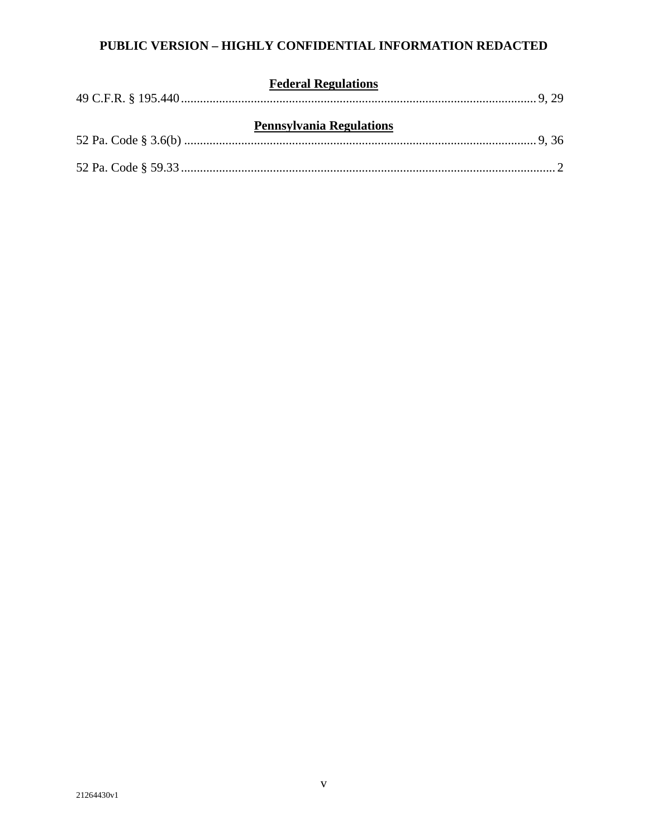| <b>Federal Regulations</b>      |  |  |
|---------------------------------|--|--|
| <b>Pennsylvania Regulations</b> |  |  |
|                                 |  |  |
|                                 |  |  |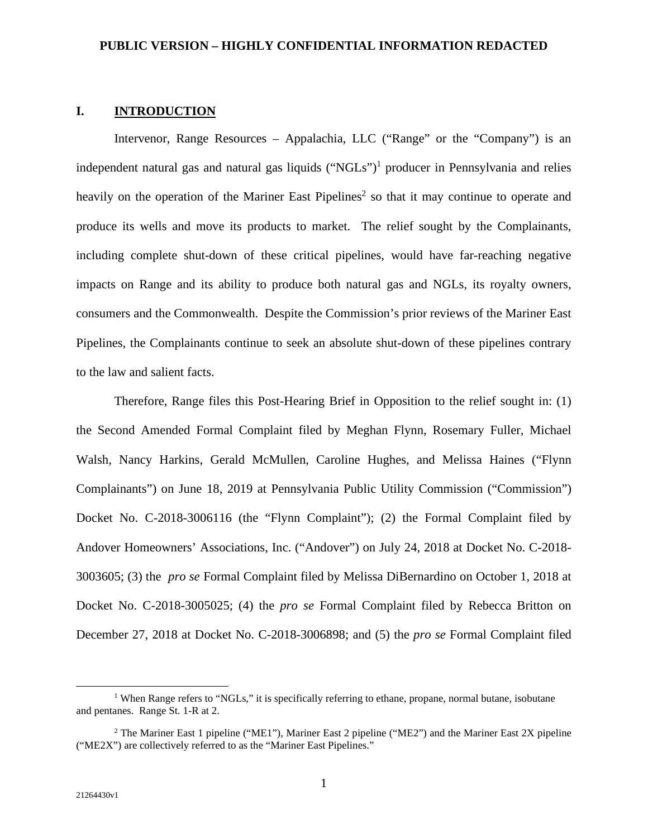# **I. INTRODUCTION**

Intervenor, Range Resources – Appalachia, LLC ("Range" or the "Company") is an independent natural gas and natural gas liquids ("NGLs")<sup>1</sup> producer in Pennsylvania and relies heavily on the operation of the Mariner East Pipelines<sup>2</sup> so that it may continue to operate and produce its wells and move its products to market. The relief sought by the Complainants, including complete shut-down of these critical pipelines, would have far-reaching negative impacts on Range and its ability to produce both natural gas and NGLs, its royalty owners, consumers and the Commonwealth. Despite the Commission's prior reviews of the Mariner East Pipelines, the Complainants continue to seek an absolute shut-down of these pipelines contrary to the law and salient facts.

Therefore, Range files this Post-Hearing Brief in Opposition to the relief sought in: (1) the Second Amended Formal Complaint filed by Meghan Flynn, Rosemary Fuller, Michael Walsh, Nancy Harkins, Gerald McMullen, Caroline Hughes, and Melissa Haines ("Flynn Complainants") on June 18, 2019 at Pennsylvania Public Utility Commission ("Commission") Docket No. C-2018-3006116 (the "Flynn Complaint"); (2) the Formal Complaint filed by Andover Homeowners' Associations, Inc. ("Andover") on July 24, 2018 at Docket No. C-2018- 3003605; (3) the *pro se* Formal Complaint filed by Melissa DiBernardino on October 1, 2018 at Docket No. C-2018-3005025; (4) the *pro se* Formal Complaint filed by Rebecca Britton on December 27, 2018 at Docket No. C-2018-3006898; and (5) the *pro se* Formal Complaint filed

<sup>&</sup>lt;sup>1</sup> When Range refers to "NGLs," it is specifically referring to ethane, propane, normal butane, isobutane and pentanes. Range St. 1-R at 2.

<sup>&</sup>lt;sup>2</sup> The Mariner East 1 pipeline ("ME1"), Mariner East 2 pipeline ("ME2") and the Mariner East 2X pipeline ("ME2X") are collectively referred to as the "Mariner East Pipelines."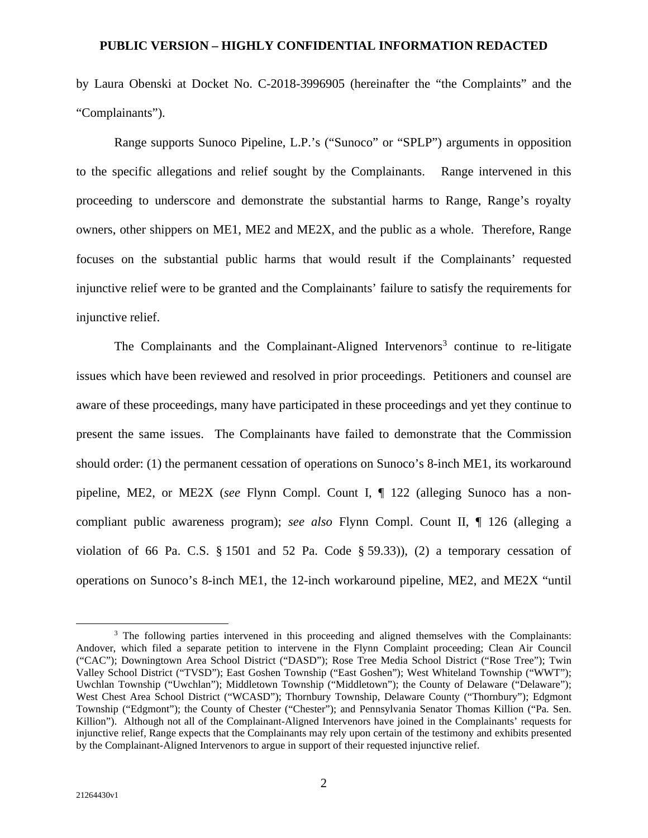by Laura Obenski at Docket No. C-2018-3996905 (hereinafter the "the Complaints" and the "Complainants").

Range supports Sunoco Pipeline, L.P.'s ("Sunoco" or "SPLP") arguments in opposition to the specific allegations and relief sought by the Complainants. Range intervened in this proceeding to underscore and demonstrate the substantial harms to Range, Range's royalty owners, other shippers on ME1, ME2 and ME2X, and the public as a whole. Therefore, Range focuses on the substantial public harms that would result if the Complainants' requested injunctive relief were to be granted and the Complainants' failure to satisfy the requirements for injunctive relief.

The Complainants and the Complainant-Aligned Intervenors<sup>3</sup> continue to re-litigate issues which have been reviewed and resolved in prior proceedings. Petitioners and counsel are aware of these proceedings, many have participated in these proceedings and yet they continue to present the same issues. The Complainants have failed to demonstrate that the Commission should order: (1) the permanent cessation of operations on Sunoco's 8-inch ME1, its workaround pipeline, ME2, or ME2X (*see* Flynn Compl. Count I, ¶ 122 (alleging Sunoco has a noncompliant public awareness program); *see also* Flynn Compl. Count II, ¶ 126 (alleging a violation of 66 Pa. C.S.  $\S$  1501 and 52 Pa. Code  $\S$  59.33)), (2) a temporary cessation of operations on Sunoco's 8-inch ME1, the 12-inch workaround pipeline, ME2, and ME2X "until

<sup>&</sup>lt;sup>3</sup> The following parties intervened in this proceeding and aligned themselves with the Complainants: Andover, which filed a separate petition to intervene in the Flynn Complaint proceeding; Clean Air Council ("CAC"); Downingtown Area School District ("DASD"); Rose Tree Media School District ("Rose Tree"); Twin Valley School District ("TVSD"); East Goshen Township ("East Goshen"); West Whiteland Township ("WWT"); Uwchlan Township ("Uwchlan"); Middletown Township ("Middletown"); the County of Delaware ("Delaware"); West Chest Area School District ("WCASD"); Thornbury Township, Delaware County ("Thornbury"); Edgmont Township ("Edgmont"); the County of Chester ("Chester"); and Pennsylvania Senator Thomas Killion ("Pa. Sen. Killion"). Although not all of the Complainant-Aligned Intervenors have joined in the Complainants' requests for injunctive relief, Range expects that the Complainants may rely upon certain of the testimony and exhibits presented by the Complainant-Aligned Intervenors to argue in support of their requested injunctive relief.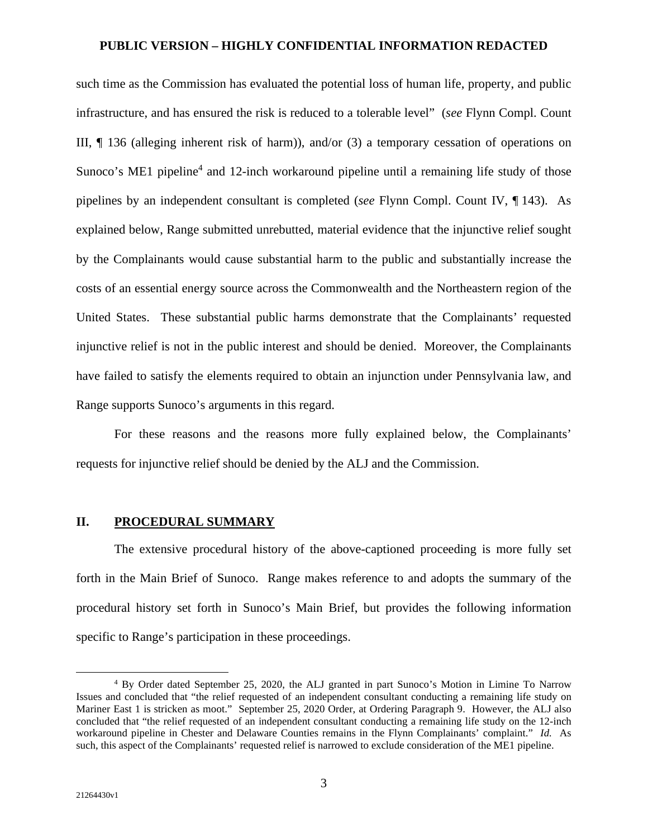such time as the Commission has evaluated the potential loss of human life, property, and public infrastructure, and has ensured the risk is reduced to a tolerable level" (*see* Flynn Compl. Count III, ¶ 136 (alleging inherent risk of harm)), and/or (3) a temporary cessation of operations on Sunoco's ME1 pipeline<sup>4</sup> and 12-inch workaround pipeline until a remaining life study of those pipelines by an independent consultant is completed (*see* Flynn Compl. Count IV, ¶ 143). As explained below, Range submitted unrebutted, material evidence that the injunctive relief sought by the Complainants would cause substantial harm to the public and substantially increase the costs of an essential energy source across the Commonwealth and the Northeastern region of the United States. These substantial public harms demonstrate that the Complainants' requested injunctive relief is not in the public interest and should be denied. Moreover, the Complainants have failed to satisfy the elements required to obtain an injunction under Pennsylvania law, and Range supports Sunoco's arguments in this regard.

For these reasons and the reasons more fully explained below, the Complainants' requests for injunctive relief should be denied by the ALJ and the Commission.

# **II. PROCEDURAL SUMMARY**

The extensive procedural history of the above-captioned proceeding is more fully set forth in the Main Brief of Sunoco. Range makes reference to and adopts the summary of the procedural history set forth in Sunoco's Main Brief, but provides the following information specific to Range's participation in these proceedings.

<sup>4</sup> By Order dated September 25, 2020, the ALJ granted in part Sunoco's Motion in Limine To Narrow Issues and concluded that "the relief requested of an independent consultant conducting a remaining life study on Mariner East 1 is stricken as moot." September 25, 2020 Order, at Ordering Paragraph 9. However, the ALJ also concluded that "the relief requested of an independent consultant conducting a remaining life study on the 12-inch workaround pipeline in Chester and Delaware Counties remains in the Flynn Complainants' complaint." *Id.* As such, this aspect of the Complainants' requested relief is narrowed to exclude consideration of the ME1 pipeline.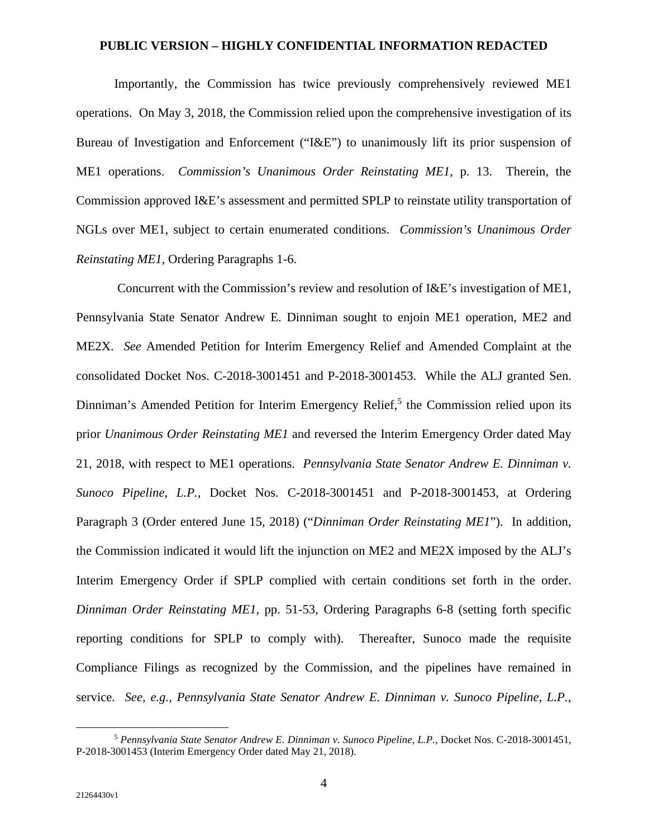Importantly, the Commission has twice previously comprehensively reviewed ME1 operations. On May 3, 2018, the Commission relied upon the comprehensive investigation of its Bureau of Investigation and Enforcement ("I&E") to unanimously lift its prior suspension of ME1 operations. *Commission's Unanimous Order Reinstating ME1*, p. 13. Therein, the Commission approved I&E's assessment and permitted SPLP to reinstate utility transportation of NGLs over ME1, subject to certain enumerated conditions. *Commission's Unanimous Order Reinstating ME1*, Ordering Paragraphs 1-6.

 Concurrent with the Commission's review and resolution of I&E's investigation of ME1, Pennsylvania State Senator Andrew E. Dinniman sought to enjoin ME1 operation, ME2 and ME2X. *See* Amended Petition for Interim Emergency Relief and Amended Complaint at the consolidated Docket Nos. C-2018-3001451 and P-2018-3001453. While the ALJ granted Sen. Dinniman's Amended Petition for Interim Emergency Relief,<sup>5</sup> the Commission relied upon its prior *Unanimous Order Reinstating ME1* and reversed the Interim Emergency Order dated May 21, 2018, with respect to ME1 operations. *Pennsylvania State Senator Andrew E. Dinniman v. Sunoco Pipeline, L.P.*, Docket Nos. C-2018-3001451 and P-2018-3001453, at Ordering Paragraph 3 (Order entered June 15, 2018) ("*Dinniman Order Reinstating ME1*"). In addition, the Commission indicated it would lift the injunction on ME2 and ME2X imposed by the ALJ's Interim Emergency Order if SPLP complied with certain conditions set forth in the order. *Dinniman Order Reinstating ME1*, pp. 51-53, Ordering Paragraphs 6-8 (setting forth specific reporting conditions for SPLP to comply with). Thereafter, Sunoco made the requisite Compliance Filings as recognized by the Commission, and the pipelines have remained in service. *See, e.g.*, *Pennsylvania State Senator Andrew E. Dinniman v. Sunoco Pipeline, L.P.*,

<sup>5</sup> *Pennsylvania State Senator Andrew E. Dinniman v. Sunoco Pipeline, L.P.*, Docket Nos. C-2018-3001451, P-2018-3001453 (Interim Emergency Order dated May 21, 2018).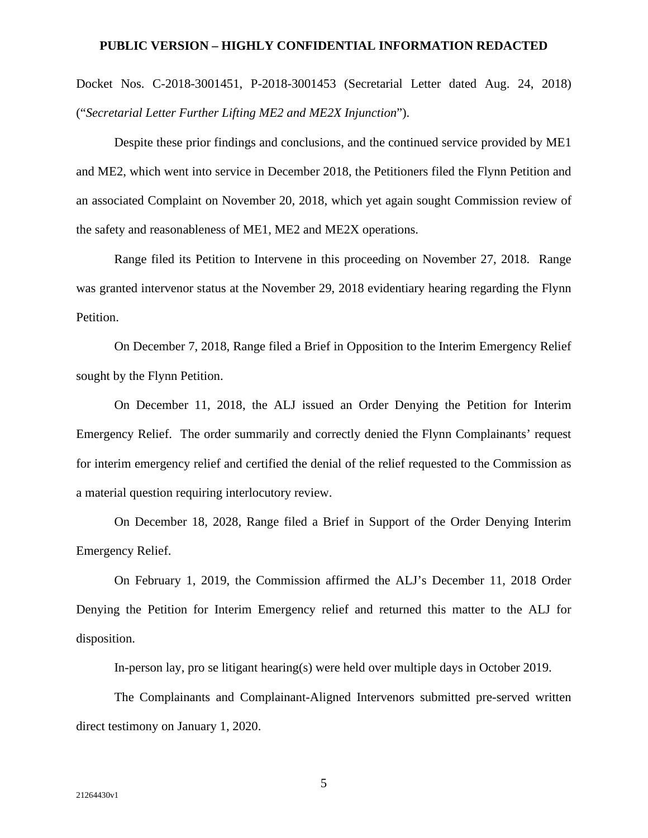Docket Nos. C-2018-3001451, P-2018-3001453 (Secretarial Letter dated Aug. 24, 2018) ("*Secretarial Letter Further Lifting ME2 and ME2X Injunction*").

Despite these prior findings and conclusions, and the continued service provided by ME1 and ME2, which went into service in December 2018, the Petitioners filed the Flynn Petition and an associated Complaint on November 20, 2018, which yet again sought Commission review of the safety and reasonableness of ME1, ME2 and ME2X operations.

Range filed its Petition to Intervene in this proceeding on November 27, 2018. Range was granted intervenor status at the November 29, 2018 evidentiary hearing regarding the Flynn Petition.

On December 7, 2018, Range filed a Brief in Opposition to the Interim Emergency Relief sought by the Flynn Petition.

On December 11, 2018, the ALJ issued an Order Denying the Petition for Interim Emergency Relief. The order summarily and correctly denied the Flynn Complainants' request for interim emergency relief and certified the denial of the relief requested to the Commission as a material question requiring interlocutory review.

On December 18, 2028, Range filed a Brief in Support of the Order Denying Interim Emergency Relief.

On February 1, 2019, the Commission affirmed the ALJ's December 11, 2018 Order Denying the Petition for Interim Emergency relief and returned this matter to the ALJ for disposition.

In-person lay, pro se litigant hearing(s) were held over multiple days in October 2019.

The Complainants and Complainant-Aligned Intervenors submitted pre-served written direct testimony on January 1, 2020.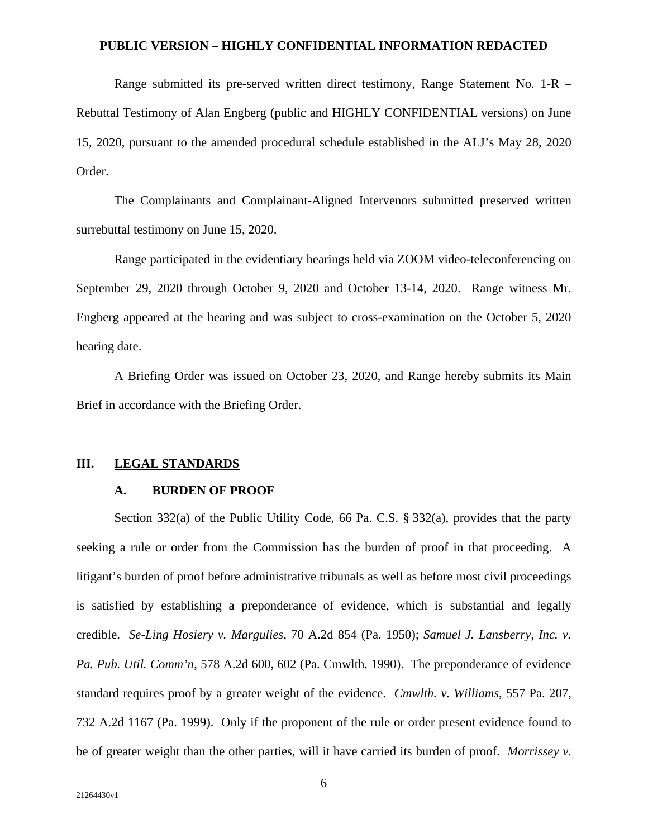Range submitted its pre-served written direct testimony, Range Statement No. 1-R – Rebuttal Testimony of Alan Engberg (public and HIGHLY CONFIDENTIAL versions) on June 15, 2020, pursuant to the amended procedural schedule established in the ALJ's May 28, 2020 Order.

The Complainants and Complainant-Aligned Intervenors submitted preserved written surrebuttal testimony on June 15, 2020.

Range participated in the evidentiary hearings held via ZOOM video-teleconferencing on September 29, 2020 through October 9, 2020 and October 13-14, 2020. Range witness Mr. Engberg appeared at the hearing and was subject to cross-examination on the October 5, 2020 hearing date.

A Briefing Order was issued on October 23, 2020, and Range hereby submits its Main Brief in accordance with the Briefing Order.

#### **III. LEGAL STANDARDS**

## **A. BURDEN OF PROOF**

Section 332(a) of the Public Utility Code, 66 Pa. C.S. § 332(a), provides that the party seeking a rule or order from the Commission has the burden of proof in that proceeding. A litigant's burden of proof before administrative tribunals as well as before most civil proceedings is satisfied by establishing a preponderance of evidence, which is substantial and legally credible. *Se-Ling Hosiery v. Margulies*, 70 A.2d 854 (Pa. 1950); *Samuel J. Lansberry, Inc. v. Pa. Pub. Util. Comm'n*, 578 A.2d 600, 602 (Pa. Cmwlth. 1990). The preponderance of evidence standard requires proof by a greater weight of the evidence. *Cmwlth. v. Williams*, 557 Pa. 207, 732 A.2d 1167 (Pa. 1999). Only if the proponent of the rule or order present evidence found to be of greater weight than the other parties, will it have carried its burden of proof. *Morrissey v.*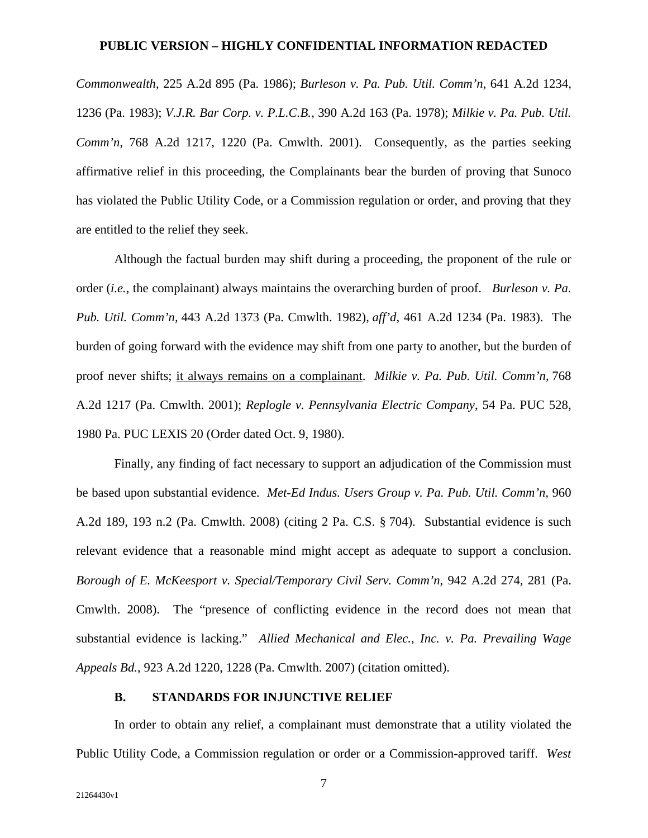*Commonwealth*, 225 A.2d 895 (Pa. 1986); *Burleson v. Pa. Pub. Util. Comm'n*, 641 A.2d 1234, 1236 (Pa. 1983); *V.J.R. Bar Corp. v. P.L.C.B.*, 390 A.2d 163 (Pa. 1978); *Milkie v. Pa. Pub. Util. Comm'n*, 768 A.2d 1217, 1220 (Pa. Cmwlth. 2001). Consequently, as the parties seeking affirmative relief in this proceeding, the Complainants bear the burden of proving that Sunoco has violated the Public Utility Code, or a Commission regulation or order, and proving that they are entitled to the relief they seek.

Although the factual burden may shift during a proceeding, the proponent of the rule or order (*i.e.*, the complainant) always maintains the overarching burden of proof. *Burleson v. Pa. Pub. Util. Comm'n,* 443 A.2d 1373 (Pa. Cmwlth. 1982), *aff'd*, 461 A.2d 1234 (Pa. 1983). The burden of going forward with the evidence may shift from one party to another, but the burden of proof never shifts; it always remains on a complainant. *Milkie v. Pa. Pub. Util. Comm'n*, 768 A.2d 1217 (Pa. Cmwlth. 2001); *Replogle v. Pennsylvania Electric Company*, 54 Pa. PUC 528, 1980 Pa. PUC LEXIS 20 (Order dated Oct. 9, 1980).

Finally, any finding of fact necessary to support an adjudication of the Commission must be based upon substantial evidence. *Met-Ed Indus. Users Group v. Pa. Pub. Util. Comm'n*, 960 A.2d 189, 193 n.2 (Pa. Cmwlth. 2008) (citing 2 Pa. C.S. § 704). Substantial evidence is such relevant evidence that a reasonable mind might accept as adequate to support a conclusion. *Borough of E. McKeesport v. Special/Temporary Civil Serv. Comm'n*, 942 A.2d 274, 281 (Pa. Cmwlth. 2008). The "presence of conflicting evidence in the record does not mean that substantial evidence is lacking." *Allied Mechanical and Elec., Inc. v. Pa. Prevailing Wage Appeals Bd.*, 923 A.2d 1220, 1228 (Pa. Cmwlth. 2007) (citation omitted).

#### **B. STANDARDS FOR INJUNCTIVE RELIEF**

In order to obtain any relief, a complainant must demonstrate that a utility violated the Public Utility Code, a Commission regulation or order or a Commission-approved tariff. *West*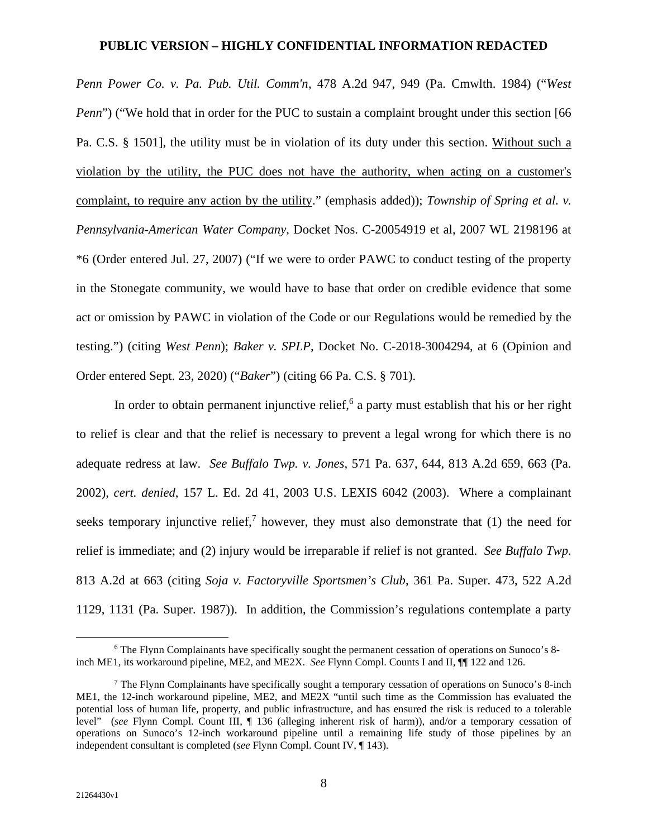*Penn Power Co. v. Pa. Pub. Util. Comm'n*, 478 A.2d 947, 949 (Pa. Cmwlth. 1984) ("*West Penn*") ("We hold that in order for the PUC to sustain a complaint brought under this section [66] Pa. C.S. § 1501], the utility must be in violation of its duty under this section. Without such a violation by the utility, the PUC does not have the authority, when acting on a customer's complaint, to require any action by the utility." (emphasis added)); *Township of Spring et al. v. Pennsylvania-American Water Company*, Docket Nos. C-20054919 et al, 2007 WL 2198196 at \*6 (Order entered Jul. 27, 2007) ("If we were to order PAWC to conduct testing of the property in the Stonegate community, we would have to base that order on credible evidence that some act or omission by PAWC in violation of the Code or our Regulations would be remedied by the testing.") (citing *West Penn*); *Baker v. SPLP*, Docket No. C-2018-3004294, at 6 (Opinion and Order entered Sept. 23, 2020) ("*Baker*") (citing 66 Pa. C.S. § 701).

In order to obtain permanent injunctive relief,  $6$  a party must establish that his or her right to relief is clear and that the relief is necessary to prevent a legal wrong for which there is no adequate redress at law. *See Buffalo Twp. v. Jones*, 571 Pa. 637, 644, 813 A.2d 659, 663 (Pa. 2002), *cert. denied*, 157 L. Ed. 2d 41, 2003 U.S. LEXIS 6042 (2003). Where a complainant seeks temporary injunctive relief,<sup>7</sup> however, they must also demonstrate that  $(1)$  the need for relief is immediate; and (2) injury would be irreparable if relief is not granted. *See Buffalo Twp.*  813 A.2d at 663 (citing *Soja v. Factoryville Sportsmen's Club*, 361 Pa. Super. 473, 522 A.2d 1129, 1131 (Pa. Super. 1987)). In addition, the Commission's regulations contemplate a party

<sup>6</sup> The Flynn Complainants have specifically sought the permanent cessation of operations on Sunoco's 8 inch ME1, its workaround pipeline, ME2, and ME2X. *See* Flynn Compl. Counts I and II, ¶¶ 122 and 126.

<sup>&</sup>lt;sup>7</sup> The Flynn Complainants have specifically sought a temporary cessation of operations on Sunoco's 8-inch ME1, the 12-inch workaround pipeline, ME2, and ME2X "until such time as the Commission has evaluated the potential loss of human life, property, and public infrastructure, and has ensured the risk is reduced to a tolerable level" (*see* Flynn Compl. Count III, ¶ 136 (alleging inherent risk of harm)), and/or a temporary cessation of operations on Sunoco's 12-inch workaround pipeline until a remaining life study of those pipelines by an independent consultant is completed (*see* Flynn Compl. Count IV, ¶ 143).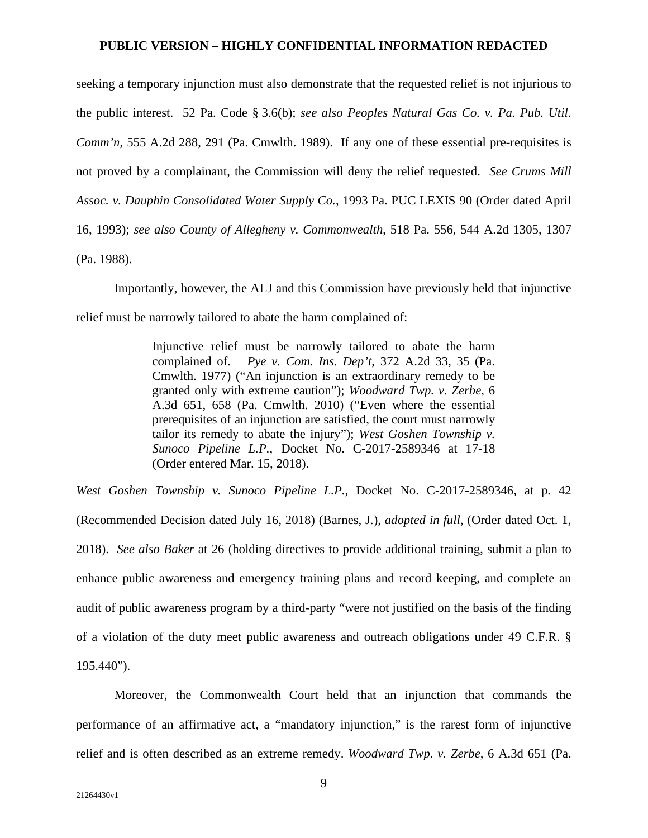seeking a temporary injunction must also demonstrate that the requested relief is not injurious to the public interest. 52 Pa. Code § 3.6(b); *see also Peoples Natural Gas Co. v. Pa. Pub. Util. Comm'n*, 555 A.2d 288, 291 (Pa. Cmwlth. 1989). If any one of these essential pre-requisites is not proved by a complainant, the Commission will deny the relief requested. *See Crums Mill Assoc. v. Dauphin Consolidated Water Supply Co.*, 1993 Pa. PUC LEXIS 90 (Order dated April 16, 1993); *see also County of Allegheny v. Commonwealth*, 518 Pa. 556, 544 A.2d 1305, 1307 (Pa. 1988).

Importantly, however, the ALJ and this Commission have previously held that injunctive relief must be narrowly tailored to abate the harm complained of:

> Injunctive relief must be narrowly tailored to abate the harm complained of. *Pye v. Com. Ins. Dep't*, 372 A.2d 33, 35 (Pa. Cmwlth. 1977) ("An injunction is an extraordinary remedy to be granted only with extreme caution"); *Woodward Twp. v. Zerbe*, 6 A.3d 651, 658 (Pa. Cmwlth. 2010) ("Even where the essential prerequisites of an injunction are satisfied, the court must narrowly tailor its remedy to abate the injury"); *West Goshen Township v. Sunoco Pipeline L.P.*, Docket No. C-2017-2589346 at 17-18 (Order entered Mar. 15, 2018).

*West Goshen Township v. Sunoco Pipeline L.P.*, Docket No. C-2017-2589346, at p. 42 (Recommended Decision dated July 16, 2018) (Barnes, J.), *adopted in full*, (Order dated Oct. 1, 2018). *See also Baker* at 26 (holding directives to provide additional training, submit a plan to enhance public awareness and emergency training plans and record keeping, and complete an audit of public awareness program by a third-party "were not justified on the basis of the finding of a violation of the duty meet public awareness and outreach obligations under 49 C.F.R. § 195.440").

Moreover, the Commonwealth Court held that an injunction that commands the performance of an affirmative act, a "mandatory injunction," is the rarest form of injunctive relief and is often described as an extreme remedy. *Woodward Twp. v. Zerbe*, 6 A.3d 651 (Pa.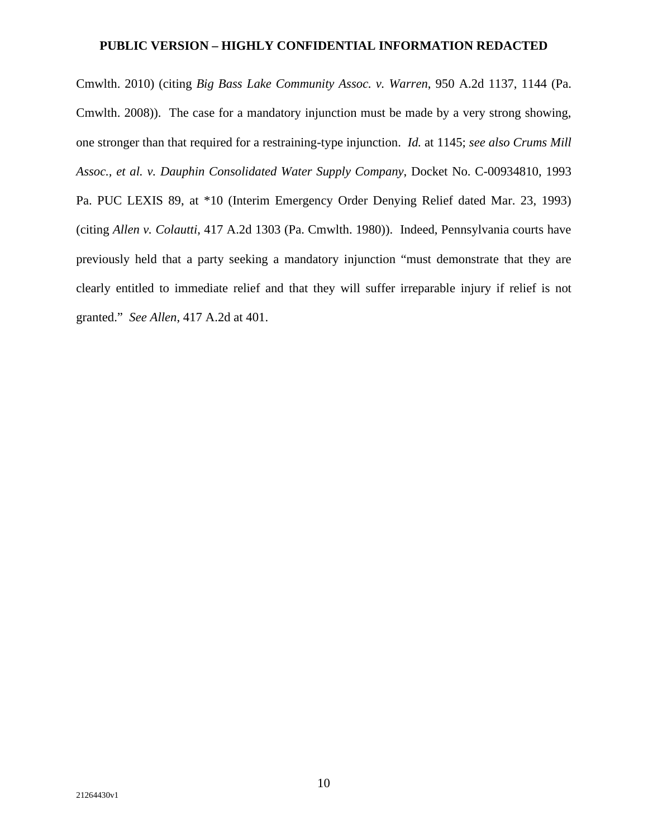Cmwlth. 2010) (citing *Big Bass Lake Community Assoc. v. Warren*, 950 A.2d 1137, 1144 (Pa. Cmwlth. 2008)). The case for a mandatory injunction must be made by a very strong showing, one stronger than that required for a restraining-type injunction. *Id.* at 1145; *see also Crums Mill Assoc., et al. v. Dauphin Consolidated Water Supply Company*, Docket No. C-00934810, 1993 Pa. PUC LEXIS 89, at \*10 (Interim Emergency Order Denying Relief dated Mar. 23, 1993) (citing *Allen v. Colautti*, 417 A.2d 1303 (Pa. Cmwlth. 1980)). Indeed, Pennsylvania courts have previously held that a party seeking a mandatory injunction "must demonstrate that they are clearly entitled to immediate relief and that they will suffer irreparable injury if relief is not granted." *See Allen*, 417 A.2d at 401.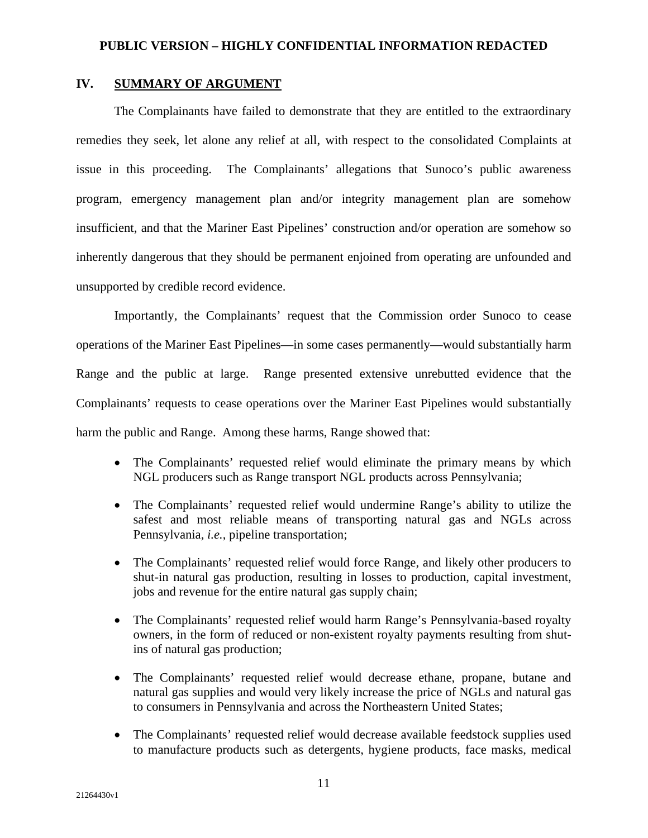# **IV. SUMMARY OF ARGUMENT**

The Complainants have failed to demonstrate that they are entitled to the extraordinary remedies they seek, let alone any relief at all, with respect to the consolidated Complaints at issue in this proceeding. The Complainants' allegations that Sunoco's public awareness program, emergency management plan and/or integrity management plan are somehow insufficient, and that the Mariner East Pipelines' construction and/or operation are somehow so inherently dangerous that they should be permanent enjoined from operating are unfounded and unsupported by credible record evidence.

Importantly, the Complainants' request that the Commission order Sunoco to cease operations of the Mariner East Pipelines—in some cases permanently—would substantially harm Range and the public at large. Range presented extensive unrebutted evidence that the Complainants' requests to cease operations over the Mariner East Pipelines would substantially harm the public and Range. Among these harms, Range showed that:

- The Complainants' requested relief would eliminate the primary means by which NGL producers such as Range transport NGL products across Pennsylvania;
- The Complainants' requested relief would undermine Range's ability to utilize the safest and most reliable means of transporting natural gas and NGLs across Pennsylvania, *i.e.*, pipeline transportation;
- The Complainants' requested relief would force Range, and likely other producers to shut-in natural gas production, resulting in losses to production, capital investment, jobs and revenue for the entire natural gas supply chain;
- The Complainants' requested relief would harm Range's Pennsylvania-based royalty owners, in the form of reduced or non-existent royalty payments resulting from shutins of natural gas production;
- The Complainants' requested relief would decrease ethane, propane, butane and natural gas supplies and would very likely increase the price of NGLs and natural gas to consumers in Pennsylvania and across the Northeastern United States;
- The Complainants' requested relief would decrease available feedstock supplies used to manufacture products such as detergents, hygiene products, face masks, medical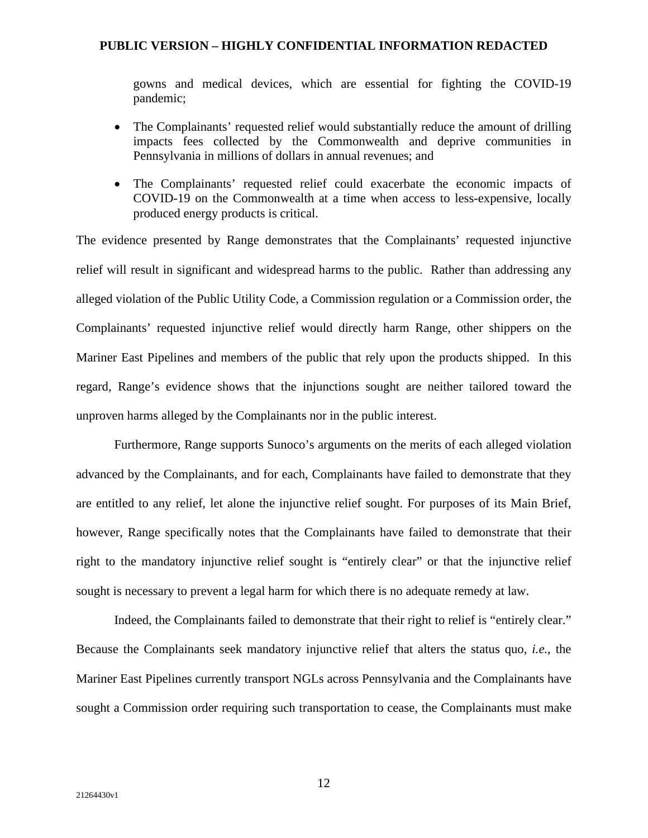gowns and medical devices, which are essential for fighting the COVID-19 pandemic;

- The Complainants' requested relief would substantially reduce the amount of drilling impacts fees collected by the Commonwealth and deprive communities in Pennsylvania in millions of dollars in annual revenues; and
- The Complainants' requested relief could exacerbate the economic impacts of COVID-19 on the Commonwealth at a time when access to less-expensive, locally produced energy products is critical.

The evidence presented by Range demonstrates that the Complainants' requested injunctive relief will result in significant and widespread harms to the public. Rather than addressing any alleged violation of the Public Utility Code, a Commission regulation or a Commission order, the Complainants' requested injunctive relief would directly harm Range, other shippers on the Mariner East Pipelines and members of the public that rely upon the products shipped. In this regard, Range's evidence shows that the injunctions sought are neither tailored toward the unproven harms alleged by the Complainants nor in the public interest.

Furthermore, Range supports Sunoco's arguments on the merits of each alleged violation advanced by the Complainants, and for each, Complainants have failed to demonstrate that they are entitled to any relief, let alone the injunctive relief sought. For purposes of its Main Brief, however, Range specifically notes that the Complainants have failed to demonstrate that their right to the mandatory injunctive relief sought is "entirely clear" or that the injunctive relief sought is necessary to prevent a legal harm for which there is no adequate remedy at law.

Indeed, the Complainants failed to demonstrate that their right to relief is "entirely clear." Because the Complainants seek mandatory injunctive relief that alters the status quo, *i.e.*, the Mariner East Pipelines currently transport NGLs across Pennsylvania and the Complainants have sought a Commission order requiring such transportation to cease, the Complainants must make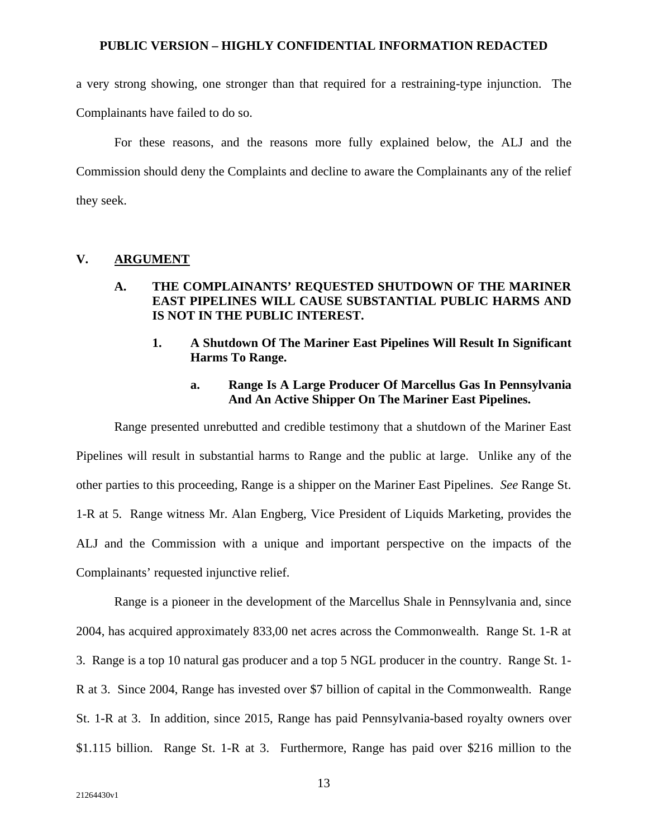a very strong showing, one stronger than that required for a restraining-type injunction. The Complainants have failed to do so.

For these reasons, and the reasons more fully explained below, the ALJ and the Commission should deny the Complaints and decline to aware the Complainants any of the relief they seek.

### **V. ARGUMENT**

# **A. THE COMPLAINANTS' REQUESTED SHUTDOWN OF THE MARINER EAST PIPELINES WILL CAUSE SUBSTANTIAL PUBLIC HARMS AND IS NOT IN THE PUBLIC INTEREST.**

**1. A Shutdown Of The Mariner East Pipelines Will Result In Significant Harms To Range.** 

# **a. Range Is A Large Producer Of Marcellus Gas In Pennsylvania And An Active Shipper On The Mariner East Pipelines.**

Range presented unrebutted and credible testimony that a shutdown of the Mariner East Pipelines will result in substantial harms to Range and the public at large. Unlike any of the other parties to this proceeding, Range is a shipper on the Mariner East Pipelines. *See* Range St. 1-R at 5. Range witness Mr. Alan Engberg, Vice President of Liquids Marketing, provides the ALJ and the Commission with a unique and important perspective on the impacts of the Complainants' requested injunctive relief.

Range is a pioneer in the development of the Marcellus Shale in Pennsylvania and, since 2004, has acquired approximately 833,00 net acres across the Commonwealth. Range St. 1-R at 3. Range is a top 10 natural gas producer and a top 5 NGL producer in the country. Range St. 1- R at 3. Since 2004, Range has invested over \$7 billion of capital in the Commonwealth. Range St. 1-R at 3. In addition, since 2015, Range has paid Pennsylvania-based royalty owners over \$1.115 billion. Range St. 1-R at 3. Furthermore, Range has paid over \$216 million to the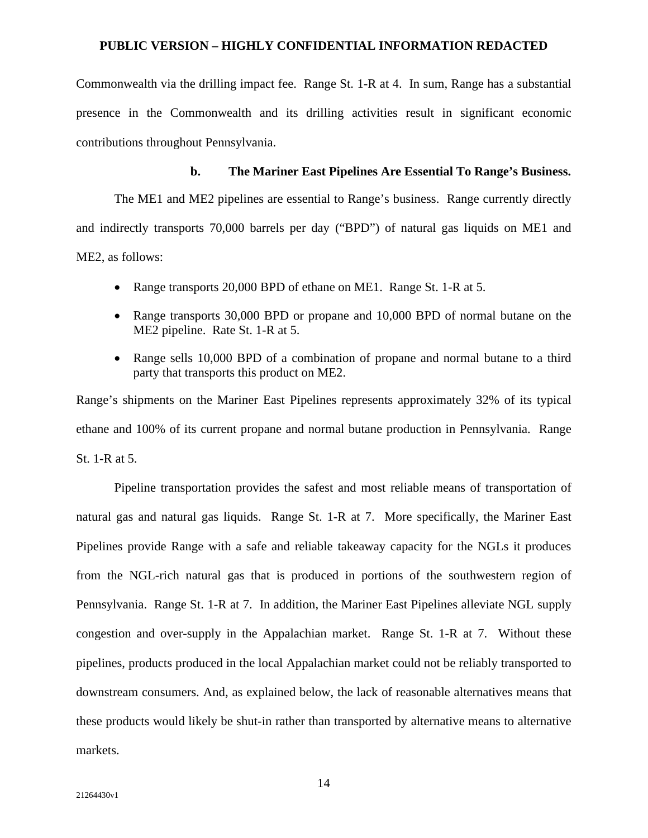Commonwealth via the drilling impact fee. Range St. 1-R at 4. In sum, Range has a substantial presence in the Commonwealth and its drilling activities result in significant economic contributions throughout Pennsylvania.

## **b. The Mariner East Pipelines Are Essential To Range's Business.**

The ME1 and ME2 pipelines are essential to Range's business. Range currently directly and indirectly transports 70,000 barrels per day ("BPD") of natural gas liquids on ME1 and ME2, as follows:

- Range transports 20,000 BPD of ethane on ME1. Range St. 1-R at 5.
- Range transports 30,000 BPD or propane and 10,000 BPD of normal butane on the ME2 pipeline. Rate St. 1-R at 5.
- Range sells 10,000 BPD of a combination of propane and normal butane to a third party that transports this product on ME2.

Range's shipments on the Mariner East Pipelines represents approximately 32% of its typical ethane and 100% of its current propane and normal butane production in Pennsylvania. Range St. 1-R at 5.

Pipeline transportation provides the safest and most reliable means of transportation of natural gas and natural gas liquids. Range St. 1-R at 7. More specifically, the Mariner East Pipelines provide Range with a safe and reliable takeaway capacity for the NGLs it produces from the NGL-rich natural gas that is produced in portions of the southwestern region of Pennsylvania. Range St. 1-R at 7. In addition, the Mariner East Pipelines alleviate NGL supply congestion and over-supply in the Appalachian market. Range St. 1-R at 7. Without these pipelines, products produced in the local Appalachian market could not be reliably transported to downstream consumers. And, as explained below, the lack of reasonable alternatives means that these products would likely be shut-in rather than transported by alternative means to alternative markets.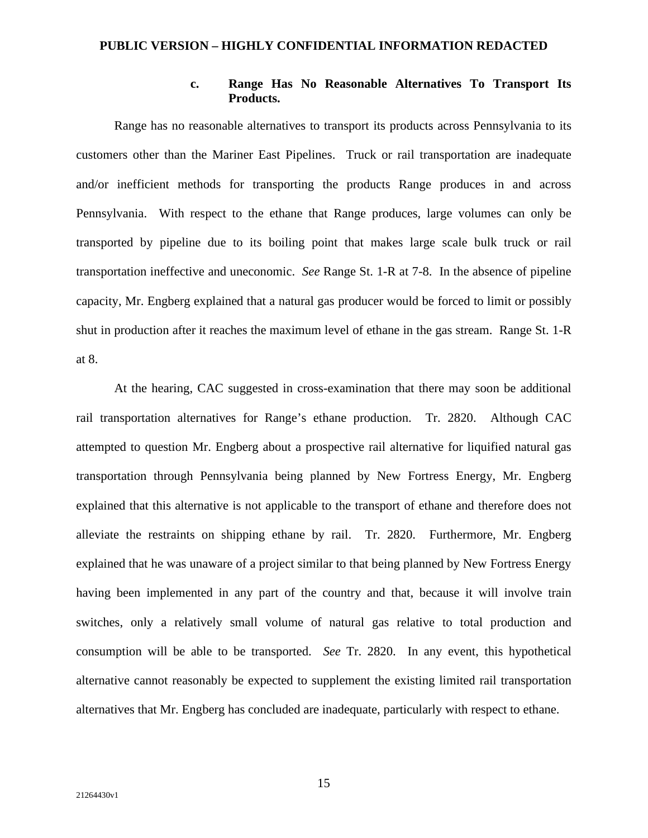## **c. Range Has No Reasonable Alternatives To Transport Its Products.**

Range has no reasonable alternatives to transport its products across Pennsylvania to its customers other than the Mariner East Pipelines. Truck or rail transportation are inadequate and/or inefficient methods for transporting the products Range produces in and across Pennsylvania. With respect to the ethane that Range produces, large volumes can only be transported by pipeline due to its boiling point that makes large scale bulk truck or rail transportation ineffective and uneconomic. *See* Range St. 1-R at 7-8. In the absence of pipeline capacity, Mr. Engberg explained that a natural gas producer would be forced to limit or possibly shut in production after it reaches the maximum level of ethane in the gas stream. Range St. 1-R at 8.

At the hearing, CAC suggested in cross-examination that there may soon be additional rail transportation alternatives for Range's ethane production. Tr. 2820. Although CAC attempted to question Mr. Engberg about a prospective rail alternative for liquified natural gas transportation through Pennsylvania being planned by New Fortress Energy, Mr. Engberg explained that this alternative is not applicable to the transport of ethane and therefore does not alleviate the restraints on shipping ethane by rail. Tr. 2820. Furthermore, Mr. Engberg explained that he was unaware of a project similar to that being planned by New Fortress Energy having been implemented in any part of the country and that, because it will involve train switches, only a relatively small volume of natural gas relative to total production and consumption will be able to be transported. *See* Tr. 2820. In any event, this hypothetical alternative cannot reasonably be expected to supplement the existing limited rail transportation alternatives that Mr. Engberg has concluded are inadequate, particularly with respect to ethane.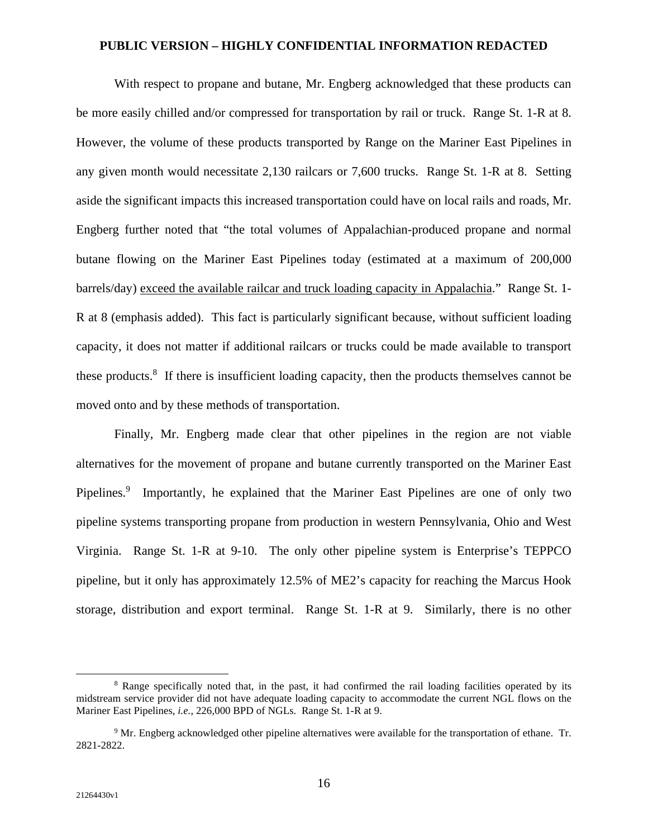With respect to propane and butane, Mr. Engberg acknowledged that these products can be more easily chilled and/or compressed for transportation by rail or truck. Range St. 1-R at 8. However, the volume of these products transported by Range on the Mariner East Pipelines in any given month would necessitate 2,130 railcars or 7,600 trucks. Range St. 1-R at 8. Setting aside the significant impacts this increased transportation could have on local rails and roads, Mr. Engberg further noted that "the total volumes of Appalachian-produced propane and normal butane flowing on the Mariner East Pipelines today (estimated at a maximum of 200,000 barrels/day) exceed the available railcar and truck loading capacity in Appalachia." Range St. 1- R at 8 (emphasis added). This fact is particularly significant because, without sufficient loading capacity, it does not matter if additional railcars or trucks could be made available to transport these products.<sup>8</sup> If there is insufficient loading capacity, then the products themselves cannot be moved onto and by these methods of transportation.

Finally, Mr. Engberg made clear that other pipelines in the region are not viable alternatives for the movement of propane and butane currently transported on the Mariner East Pipelines.<sup>9</sup> Importantly, he explained that the Mariner East Pipelines are one of only two pipeline systems transporting propane from production in western Pennsylvania, Ohio and West Virginia. Range St. 1-R at 9-10. The only other pipeline system is Enterprise's TEPPCO pipeline, but it only has approximately 12.5% of ME2's capacity for reaching the Marcus Hook storage, distribution and export terminal. Range St. 1-R at 9. Similarly, there is no other

<sup>&</sup>lt;sup>8</sup> Range specifically noted that, in the past, it had confirmed the rail loading facilities operated by its midstream service provider did not have adequate loading capacity to accommodate the current NGL flows on the Mariner East Pipelines, *i.e.*, 226,000 BPD of NGLs. Range St. 1-R at 9.

<sup>&</sup>lt;sup>9</sup> Mr. Engberg acknowledged other pipeline alternatives were available for the transportation of ethane. Tr. 2821-2822.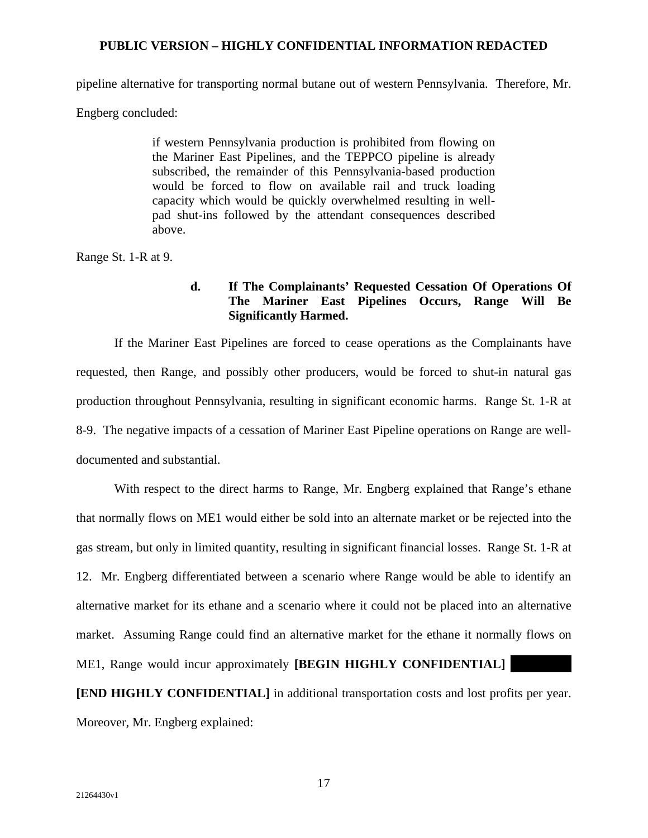pipeline alternative for transporting normal butane out of western Pennsylvania. Therefore, Mr.

Engberg concluded:

if western Pennsylvania production is prohibited from flowing on the Mariner East Pipelines, and the TEPPCO pipeline is already subscribed, the remainder of this Pennsylvania-based production would be forced to flow on available rail and truck loading capacity which would be quickly overwhelmed resulting in wellpad shut-ins followed by the attendant consequences described above.

Range St. 1-R at 9.

# **d. If The Complainants' Requested Cessation Of Operations Of The Mariner East Pipelines Occurs, Range Will Be Significantly Harmed.**

If the Mariner East Pipelines are forced to cease operations as the Complainants have requested, then Range, and possibly other producers, would be forced to shut-in natural gas production throughout Pennsylvania, resulting in significant economic harms. Range St. 1-R at 8-9. The negative impacts of a cessation of Mariner East Pipeline operations on Range are welldocumented and substantial.

With respect to the direct harms to Range, Mr. Engberg explained that Range's ethane that normally flows on ME1 would either be sold into an alternate market or be rejected into the gas stream, but only in limited quantity, resulting in significant financial losses. Range St. 1-R at 12. Mr. Engberg differentiated between a scenario where Range would be able to identify an alternative market for its ethane and a scenario where it could not be placed into an alternative market. Assuming Range could find an alternative market for the ethane it normally flows on ME1, Range would incur approximately **[BEGIN HIGHLY CONFIDENTIAL]**

**[END HIGHLY CONFIDENTIAL]** in additional transportation costs and lost profits per year. Moreover, Mr. Engberg explained: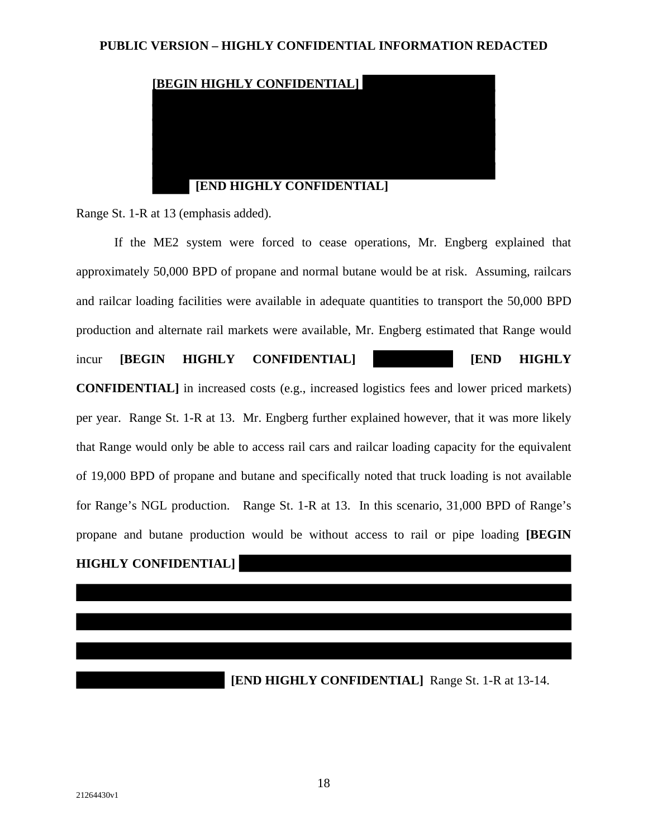

Range St. 1-R at 13 (emphasis added).

If the ME2 system were forced to cease operations, Mr. Engberg explained that approximately 50,000 BPD of propane and normal butane would be at risk. Assuming, railcars and railcar loading facilities were available in adequate quantities to transport the 50,000 BPD production and alternate rail markets were available, Mr. Engberg estimated that Range would

incur **[BEGIN HIGHLY CONFIDENTIAL] [END HIGHLY** 

**CONFIDENTIAL]** in increased costs (e.g., increased logistics fees and lower priced markets) per year. Range St. 1-R at 13. Mr. Engberg further explained however, that it was more likely that Range would only be able to access rail cars and railcar loading capacity for the equivalent of 19,000 BPD of propane and butane and specifically noted that truck loading is not available for Range's NGL production. Range St. 1-R at 13. In this scenario, 31,000 BPD of Range's propane and butane production would be without access to rail or pipe loading **[BEGIN** 

**HIGHLY CONFIDENTIAL]**

**[END HIGHLY CONFIDENTIAL]** Range St. 1-R at 13-14.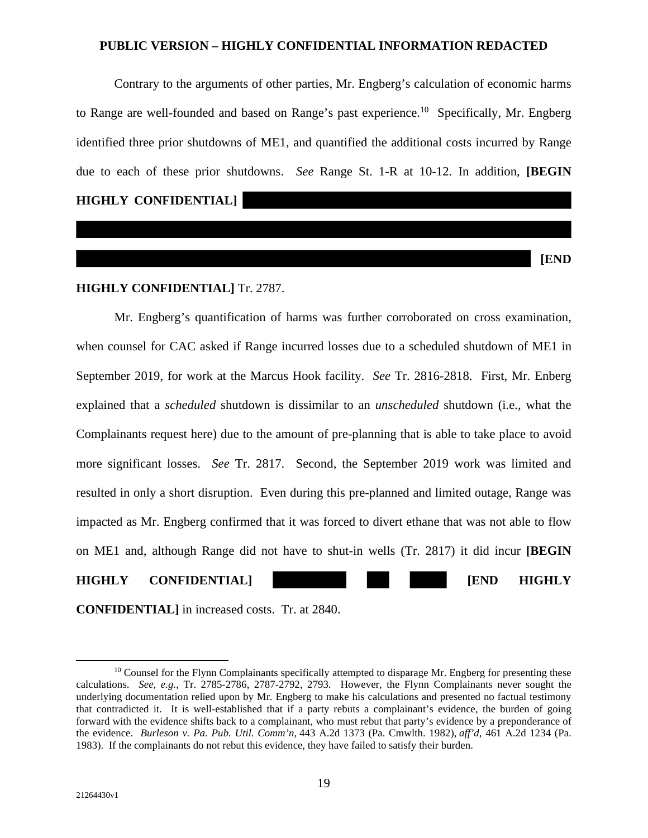Contrary to the arguments of other parties, Mr. Engberg's calculation of economic harms to Range are well-founded and based on Range's past experience.<sup>10</sup> Specifically, Mr. Engberg identified three prior shutdowns of ME1, and quantified the additional costs incurred by Range due to each of these prior shutdowns. *See* Range St. 1-R at 10-12. In addition, **[BEGIN** 

**HIGHLY CONFIDENTIAL]** 

**[END** 

## **HIGHLY CONFIDENTIAL]** Tr. 2787.

Mr. Engberg's quantification of harms was further corroborated on cross examination, when counsel for CAC asked if Range incurred losses due to a scheduled shutdown of ME1 in September 2019, for work at the Marcus Hook facility. *See* Tr. 2816-2818. First, Mr. Enberg explained that a *scheduled* shutdown is dissimilar to an *unscheduled* shutdown (i.e., what the Complainants request here) due to the amount of pre-planning that is able to take place to avoid more significant losses. *See* Tr. 2817. Second, the September 2019 work was limited and resulted in only a short disruption. Even during this pre-planned and limited outage, Range was impacted as Mr. Engberg confirmed that it was forced to divert ethane that was not able to flow on ME1 and, although Range did not have to shut-in wells (Tr. 2817) it did incur **[BEGIN** 

## **HIGHLY CONFIDENTIAL] [END HIGHLY**

**CONFIDENTIAL]** in increased costs. Tr. at 2840.

 $10$  Counsel for the Flynn Complainants specifically attempted to disparage Mr. Engberg for presenting these calculations. *See, e.g.*, Tr. 2785-2786, 2787-2792, 2793. However, the Flynn Complainants never sought the underlying documentation relied upon by Mr. Engberg to make his calculations and presented no factual testimony that contradicted it. It is well-established that if a party rebuts a complainant's evidence, the burden of going forward with the evidence shifts back to a complainant, who must rebut that party's evidence by a preponderance of the evidence. *Burleson v. Pa. Pub. Util. Comm'n,* 443 A.2d 1373 (Pa. Cmwlth. 1982), *aff'd*, 461 A.2d 1234 (Pa. 1983). If the complainants do not rebut this evidence, they have failed to satisfy their burden.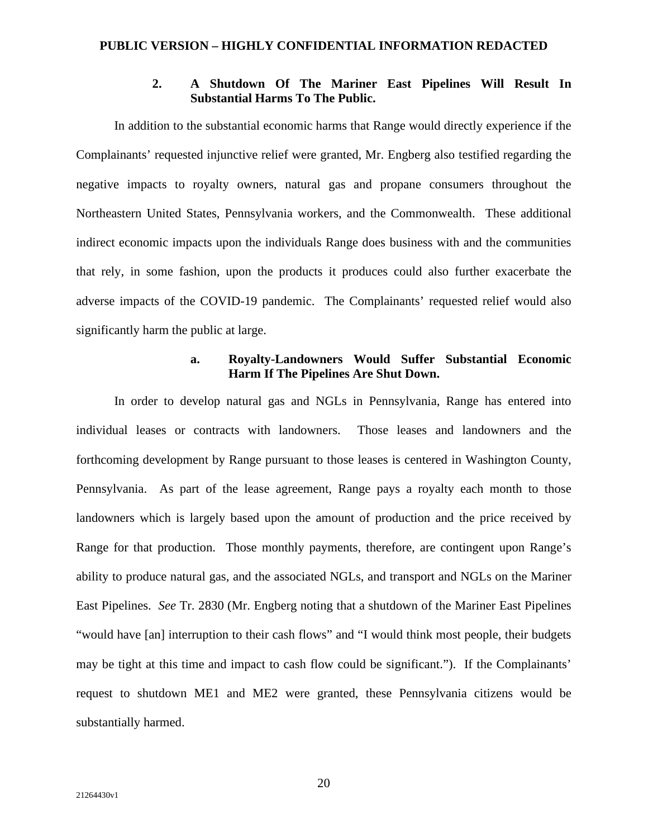# **2. A Shutdown Of The Mariner East Pipelines Will Result In Substantial Harms To The Public.**

In addition to the substantial economic harms that Range would directly experience if the Complainants' requested injunctive relief were granted, Mr. Engberg also testified regarding the negative impacts to royalty owners, natural gas and propane consumers throughout the Northeastern United States, Pennsylvania workers, and the Commonwealth. These additional indirect economic impacts upon the individuals Range does business with and the communities that rely, in some fashion, upon the products it produces could also further exacerbate the adverse impacts of the COVID-19 pandemic. The Complainants' requested relief would also significantly harm the public at large.

# **a. Royalty-Landowners Would Suffer Substantial Economic Harm If The Pipelines Are Shut Down.**

In order to develop natural gas and NGLs in Pennsylvania, Range has entered into individual leases or contracts with landowners. Those leases and landowners and the forthcoming development by Range pursuant to those leases is centered in Washington County, Pennsylvania. As part of the lease agreement, Range pays a royalty each month to those landowners which is largely based upon the amount of production and the price received by Range for that production. Those monthly payments, therefore, are contingent upon Range's ability to produce natural gas, and the associated NGLs, and transport and NGLs on the Mariner East Pipelines. *See* Tr. 2830 (Mr. Engberg noting that a shutdown of the Mariner East Pipelines "would have [an] interruption to their cash flows" and "I would think most people, their budgets may be tight at this time and impact to cash flow could be significant."). If the Complainants' request to shutdown ME1 and ME2 were granted, these Pennsylvania citizens would be substantially harmed.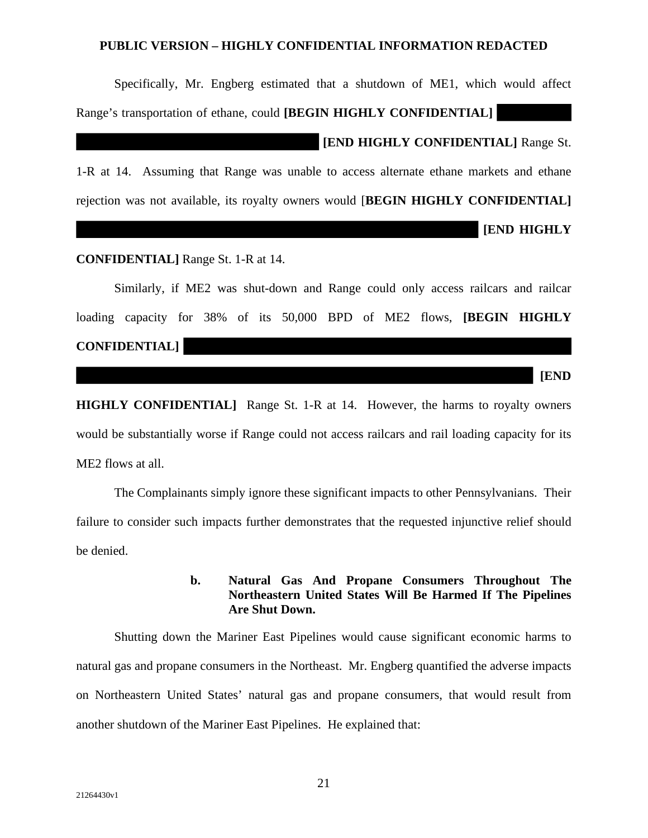Specifically, Mr. Engberg estimated that a shutdown of ME1, which would affect Range's transportation of ethane, could **[BEGIN HIGHLY CONFIDENTIAL] [END HIGHLY CONFIDENTIAL]** Range St. 1-R at 14. Assuming that Range was unable to access alternate ethane markets and ethane rejection was not available, its royalty owners would [**BEGIN HIGHLY CONFIDENTIAL] [END HIGHLY** 

**CONFIDENTIAL]** Range St. 1-R at 14.

Similarly, if ME2 was shut-down and Range could only access railcars and railcar loading capacity for 38% of its 50,000 BPD of ME2 flows, **[BEGIN HIGHLY CONFIDENTIAL]** 

**HIGHLY CONFIDENTIAL]** Range St. 1-R at 14. However, the harms to royalty owners would be substantially worse if Range could not access railcars and rail loading capacity for its ME2 flows at all.

The Complainants simply ignore these significant impacts to other Pennsylvanians. Their failure to consider such impacts further demonstrates that the requested injunctive relief should be denied.

> **b. Natural Gas And Propane Consumers Throughout The Northeastern United States Will Be Harmed If The Pipelines Are Shut Down.**

Shutting down the Mariner East Pipelines would cause significant economic harms to natural gas and propane consumers in the Northeast. Mr. Engberg quantified the adverse impacts on Northeastern United States' natural gas and propane consumers, that would result from another shutdown of the Mariner East Pipelines. He explained that:

**[END**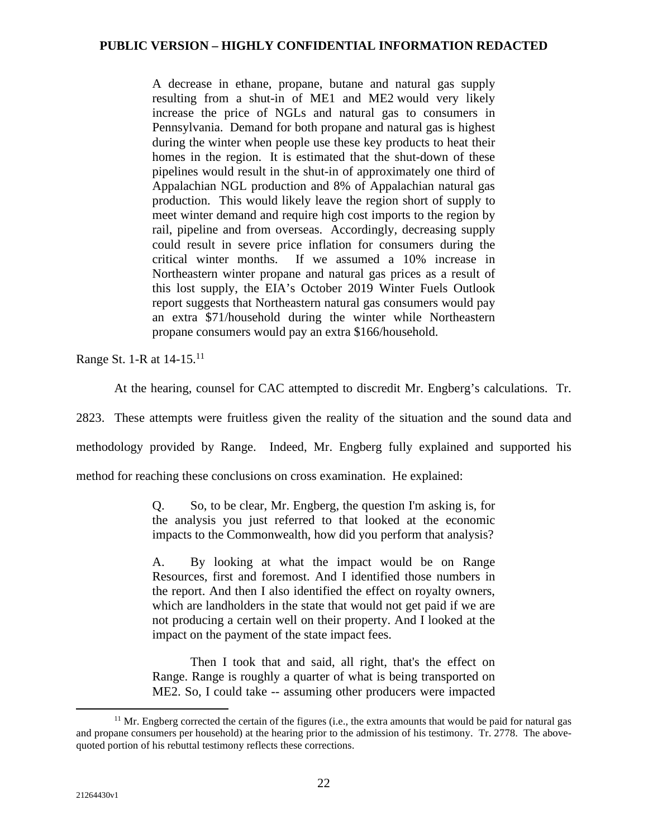A decrease in ethane, propane, butane and natural gas supply resulting from a shut-in of ME1 and ME2 would very likely increase the price of NGLs and natural gas to consumers in Pennsylvania. Demand for both propane and natural gas is highest during the winter when people use these key products to heat their homes in the region. It is estimated that the shut-down of these pipelines would result in the shut-in of approximately one third of Appalachian NGL production and 8% of Appalachian natural gas production. This would likely leave the region short of supply to meet winter demand and require high cost imports to the region by rail, pipeline and from overseas. Accordingly, decreasing supply could result in severe price inflation for consumers during the critical winter months. If we assumed a 10% increase in Northeastern winter propane and natural gas prices as a result of this lost supply, the EIA's October 2019 Winter Fuels Outlook report suggests that Northeastern natural gas consumers would pay an extra \$71/household during the winter while Northeastern propane consumers would pay an extra \$166/household.

Range St. 1-R at 14-15.<sup>11</sup>

At the hearing, counsel for CAC attempted to discredit Mr. Engberg's calculations. Tr.

2823. These attempts were fruitless given the reality of the situation and the sound data and

methodology provided by Range. Indeed, Mr. Engberg fully explained and supported his

method for reaching these conclusions on cross examination. He explained:

Q. So, to be clear, Mr. Engberg, the question I'm asking is, for the analysis you just referred to that looked at the economic impacts to the Commonwealth, how did you perform that analysis?

A. By looking at what the impact would be on Range Resources, first and foremost. And I identified those numbers in the report. And then I also identified the effect on royalty owners, which are landholders in the state that would not get paid if we are not producing a certain well on their property. And I looked at the impact on the payment of the state impact fees.

Then I took that and said, all right, that's the effect on Range. Range is roughly a quarter of what is being transported on ME2. So, I could take -- assuming other producers were impacted

<sup>&</sup>lt;sup>11</sup> Mr. Engberg corrected the certain of the figures (i.e., the extra amounts that would be paid for natural gas and propane consumers per household) at the hearing prior to the admission of his testimony. Tr. 2778. The abovequoted portion of his rebuttal testimony reflects these corrections.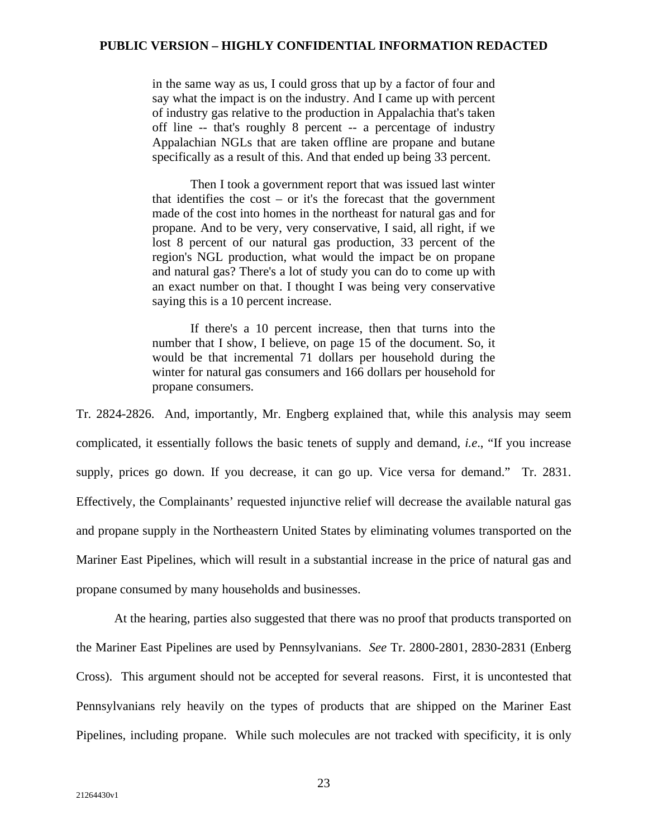in the same way as us, I could gross that up by a factor of four and say what the impact is on the industry. And I came up with percent of industry gas relative to the production in Appalachia that's taken off line -- that's roughly 8 percent -- a percentage of industry Appalachian NGLs that are taken offline are propane and butane specifically as a result of this. And that ended up being 33 percent.

Then I took a government report that was issued last winter that identifies the cost  $-$  or it's the forecast that the government made of the cost into homes in the northeast for natural gas and for propane. And to be very, very conservative, I said, all right, if we lost 8 percent of our natural gas production, 33 percent of the region's NGL production, what would the impact be on propane and natural gas? There's a lot of study you can do to come up with an exact number on that. I thought I was being very conservative saying this is a 10 percent increase.

If there's a 10 percent increase, then that turns into the number that I show, I believe, on page 15 of the document. So, it would be that incremental 71 dollars per household during the winter for natural gas consumers and 166 dollars per household for propane consumers.

Tr. 2824-2826. And, importantly, Mr. Engberg explained that, while this analysis may seem complicated, it essentially follows the basic tenets of supply and demand, *i.e*., "If you increase supply, prices go down. If you decrease, it can go up. Vice versa for demand." Tr. 2831. Effectively, the Complainants' requested injunctive relief will decrease the available natural gas and propane supply in the Northeastern United States by eliminating volumes transported on the Mariner East Pipelines, which will result in a substantial increase in the price of natural gas and propane consumed by many households and businesses.

At the hearing, parties also suggested that there was no proof that products transported on the Mariner East Pipelines are used by Pennsylvanians. *See* Tr. 2800-2801, 2830-2831 (Enberg Cross). This argument should not be accepted for several reasons. First, it is uncontested that Pennsylvanians rely heavily on the types of products that are shipped on the Mariner East Pipelines, including propane. While such molecules are not tracked with specificity, it is only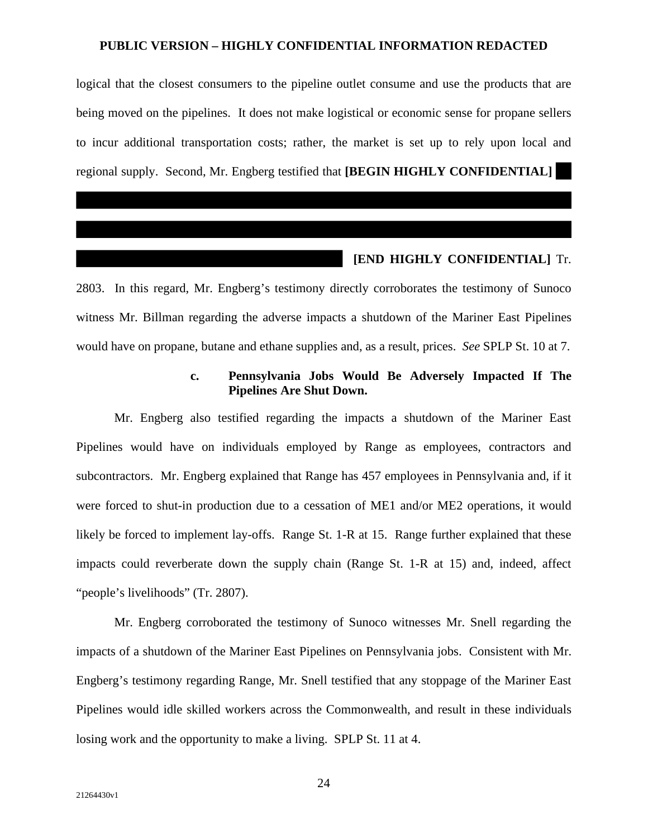logical that the closest consumers to the pipeline outlet consume and use the products that are being moved on the pipelines. It does not make logistical or economic sense for propane sellers to incur additional transportation costs; rather, the market is set up to rely upon local and regional supply. Second, Mr. Engberg testified that **[BEGIN HIGHLY CONFIDENTIAL]**  

## **[END HIGHLY CONFIDENTIAL]** Tr.

2803. In this regard, Mr. Engberg's testimony directly corroborates the testimony of Sunoco witness Mr. Billman regarding the adverse impacts a shutdown of the Mariner East Pipelines would have on propane, butane and ethane supplies and, as a result, prices. *See* SPLP St. 10 at 7.

## **c. Pennsylvania Jobs Would Be Adversely Impacted If The Pipelines Are Shut Down.**

Mr. Engberg also testified regarding the impacts a shutdown of the Mariner East Pipelines would have on individuals employed by Range as employees, contractors and subcontractors. Mr. Engberg explained that Range has 457 employees in Pennsylvania and, if it were forced to shut-in production due to a cessation of ME1 and/or ME2 operations, it would likely be forced to implement lay-offs. Range St. 1-R at 15. Range further explained that these impacts could reverberate down the supply chain (Range St. 1-R at 15) and, indeed, affect "people's livelihoods" (Tr. 2807).

Mr. Engberg corroborated the testimony of Sunoco witnesses Mr. Snell regarding the impacts of a shutdown of the Mariner East Pipelines on Pennsylvania jobs. Consistent with Mr. Engberg's testimony regarding Range, Mr. Snell testified that any stoppage of the Mariner East Pipelines would idle skilled workers across the Commonwealth, and result in these individuals losing work and the opportunity to make a living. SPLP St. 11 at 4.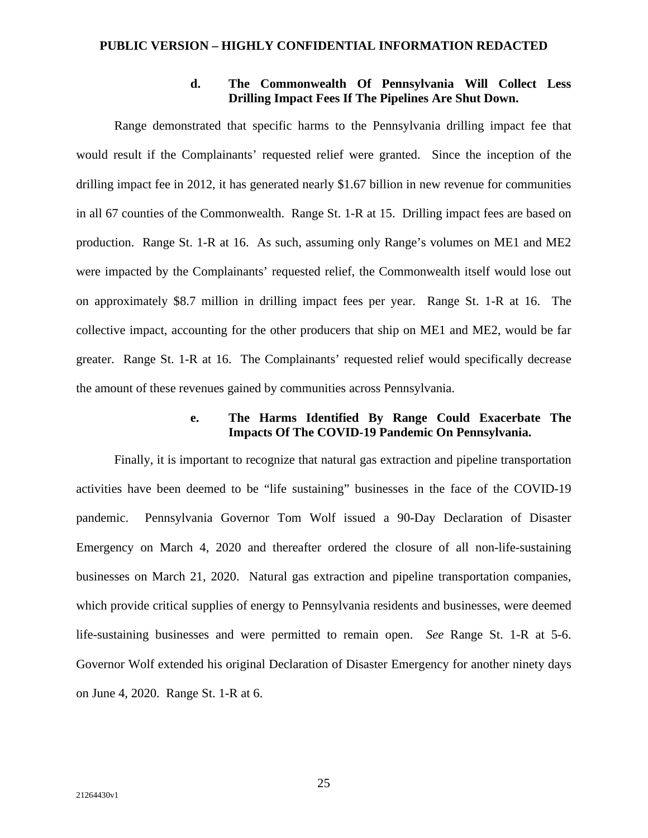## **d. The Commonwealth Of Pennsylvania Will Collect Less Drilling Impact Fees If The Pipelines Are Shut Down.**

Range demonstrated that specific harms to the Pennsylvania drilling impact fee that would result if the Complainants' requested relief were granted. Since the inception of the drilling impact fee in 2012, it has generated nearly \$1.67 billion in new revenue for communities in all 67 counties of the Commonwealth. Range St. 1-R at 15. Drilling impact fees are based on production. Range St. 1-R at 16. As such, assuming only Range's volumes on ME1 and ME2 were impacted by the Complainants' requested relief, the Commonwealth itself would lose out on approximately \$8.7 million in drilling impact fees per year. Range St. 1-R at 16. The collective impact, accounting for the other producers that ship on ME1 and ME2, would be far greater. Range St. 1-R at 16. The Complainants' requested relief would specifically decrease the amount of these revenues gained by communities across Pennsylvania.

## **e. The Harms Identified By Range Could Exacerbate The Impacts Of The COVID-19 Pandemic On Pennsylvania.**

Finally, it is important to recognize that natural gas extraction and pipeline transportation activities have been deemed to be "life sustaining" businesses in the face of the COVID-19 pandemic. Pennsylvania Governor Tom Wolf issued a 90-Day Declaration of Disaster Emergency on March 4, 2020 and thereafter ordered the closure of all non-life-sustaining businesses on March 21, 2020. Natural gas extraction and pipeline transportation companies, which provide critical supplies of energy to Pennsylvania residents and businesses, were deemed life-sustaining businesses and were permitted to remain open. *See* Range St. 1-R at 5-6. Governor Wolf extended his original Declaration of Disaster Emergency for another ninety days on June 4, 2020. Range St. 1-R at 6.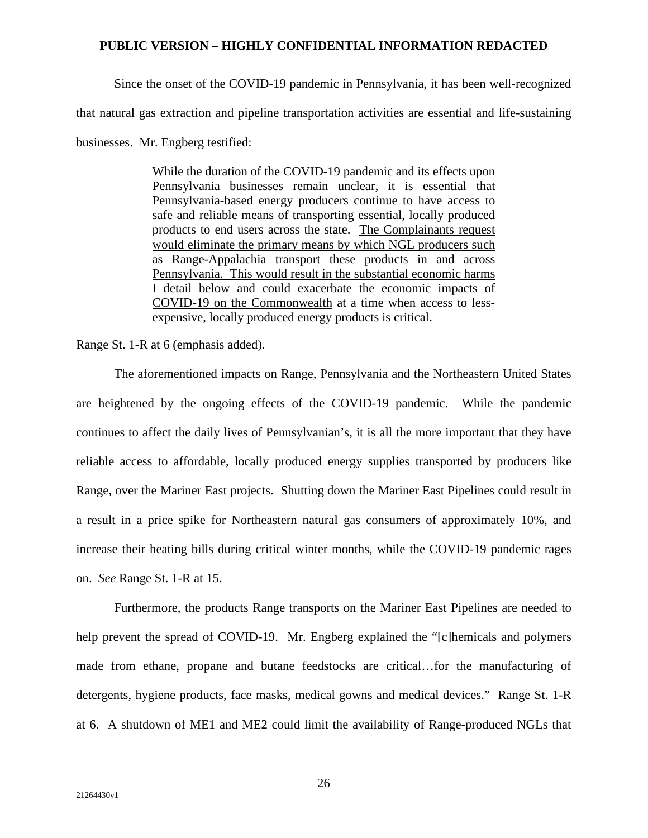Since the onset of the COVID-19 pandemic in Pennsylvania, it has been well-recognized that natural gas extraction and pipeline transportation activities are essential and life-sustaining businesses. Mr. Engberg testified:

> While the duration of the COVID-19 pandemic and its effects upon Pennsylvania businesses remain unclear, it is essential that Pennsylvania-based energy producers continue to have access to safe and reliable means of transporting essential, locally produced products to end users across the state. The Complainants request would eliminate the primary means by which NGL producers such as Range-Appalachia transport these products in and across Pennsylvania. This would result in the substantial economic harms I detail below and could exacerbate the economic impacts of COVID-19 on the Commonwealth at a time when access to lessexpensive, locally produced energy products is critical.

Range St. 1-R at 6 (emphasis added).

The aforementioned impacts on Range, Pennsylvania and the Northeastern United States are heightened by the ongoing effects of the COVID-19 pandemic. While the pandemic continues to affect the daily lives of Pennsylvanian's, it is all the more important that they have reliable access to affordable, locally produced energy supplies transported by producers like Range, over the Mariner East projects. Shutting down the Mariner East Pipelines could result in a result in a price spike for Northeastern natural gas consumers of approximately 10%, and increase their heating bills during critical winter months, while the COVID-19 pandemic rages on. *See* Range St. 1-R at 15.

Furthermore, the products Range transports on the Mariner East Pipelines are needed to help prevent the spread of COVID-19. Mr. Engberg explained the "[c]hemicals and polymers made from ethane, propane and butane feedstocks are critical…for the manufacturing of detergents, hygiene products, face masks, medical gowns and medical devices." Range St. 1-R at 6. A shutdown of ME1 and ME2 could limit the availability of Range-produced NGLs that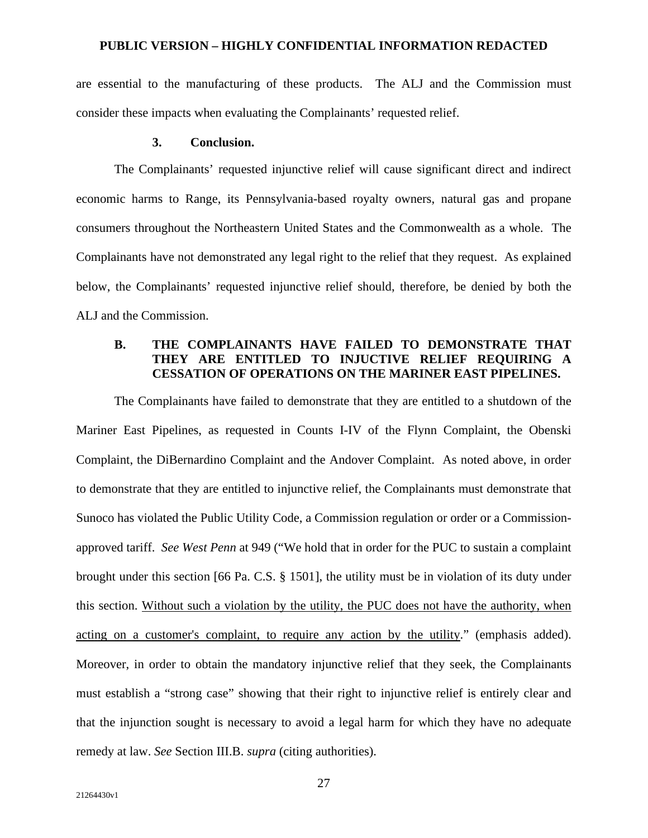are essential to the manufacturing of these products. The ALJ and the Commission must consider these impacts when evaluating the Complainants' requested relief.

## **3. Conclusion.**

The Complainants' requested injunctive relief will cause significant direct and indirect economic harms to Range, its Pennsylvania-based royalty owners, natural gas and propane consumers throughout the Northeastern United States and the Commonwealth as a whole. The Complainants have not demonstrated any legal right to the relief that they request. As explained below, the Complainants' requested injunctive relief should, therefore, be denied by both the ALJ and the Commission.

# **B. THE COMPLAINANTS HAVE FAILED TO DEMONSTRATE THAT THEY ARE ENTITLED TO INJUCTIVE RELIEF REQUIRING A CESSATION OF OPERATIONS ON THE MARINER EAST PIPELINES.**

The Complainants have failed to demonstrate that they are entitled to a shutdown of the Mariner East Pipelines, as requested in Counts I-IV of the Flynn Complaint, the Obenski Complaint, the DiBernardino Complaint and the Andover Complaint. As noted above, in order to demonstrate that they are entitled to injunctive relief, the Complainants must demonstrate that Sunoco has violated the Public Utility Code, a Commission regulation or order or a Commissionapproved tariff. *See West Penn* at 949 ("We hold that in order for the PUC to sustain a complaint brought under this section [66 Pa. C.S. § 1501], the utility must be in violation of its duty under this section. Without such a violation by the utility, the PUC does not have the authority, when acting on a customer's complaint, to require any action by the utility." (emphasis added). Moreover, in order to obtain the mandatory injunctive relief that they seek, the Complainants must establish a "strong case" showing that their right to injunctive relief is entirely clear and that the injunction sought is necessary to avoid a legal harm for which they have no adequate remedy at law. *See* Section III.B. *supra* (citing authorities).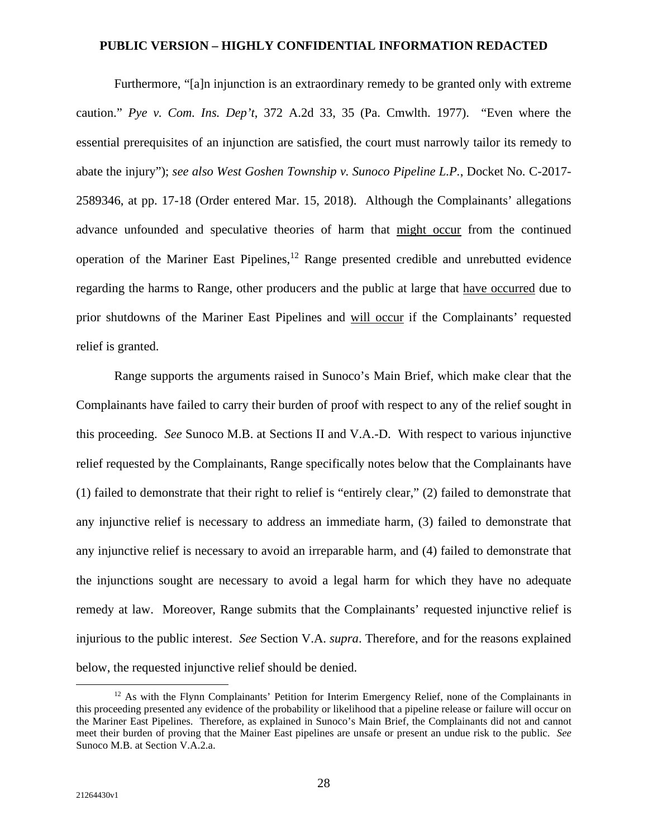Furthermore, "[a]n injunction is an extraordinary remedy to be granted only with extreme caution." *Pye v. Com. Ins. Dep't*, 372 A.2d 33, 35 (Pa. Cmwlth. 1977). "Even where the essential prerequisites of an injunction are satisfied, the court must narrowly tailor its remedy to abate the injury"); *see also West Goshen Township v. Sunoco Pipeline L.P.*, Docket No. C-2017- 2589346, at pp. 17-18 (Order entered Mar. 15, 2018). Although the Complainants' allegations advance unfounded and speculative theories of harm that might occur from the continued operation of the Mariner East Pipelines, $12$  Range presented credible and unrebutted evidence regarding the harms to Range, other producers and the public at large that have occurred due to prior shutdowns of the Mariner East Pipelines and will occur if the Complainants' requested relief is granted.

Range supports the arguments raised in Sunoco's Main Brief, which make clear that the Complainants have failed to carry their burden of proof with respect to any of the relief sought in this proceeding. *See* Sunoco M.B. at Sections II and V.A.-D. With respect to various injunctive relief requested by the Complainants, Range specifically notes below that the Complainants have (1) failed to demonstrate that their right to relief is "entirely clear," (2) failed to demonstrate that any injunctive relief is necessary to address an immediate harm, (3) failed to demonstrate that any injunctive relief is necessary to avoid an irreparable harm, and (4) failed to demonstrate that the injunctions sought are necessary to avoid a legal harm for which they have no adequate remedy at law. Moreover, Range submits that the Complainants' requested injunctive relief is injurious to the public interest. *See* Section V.A. *supra*. Therefore, and for the reasons explained below, the requested injunctive relief should be denied.

<sup>&</sup>lt;sup>12</sup> As with the Flynn Complainants' Petition for Interim Emergency Relief, none of the Complainants in this proceeding presented any evidence of the probability or likelihood that a pipeline release or failure will occur on the Mariner East Pipelines. Therefore, as explained in Sunoco's Main Brief, the Complainants did not and cannot meet their burden of proving that the Mainer East pipelines are unsafe or present an undue risk to the public. *See*  Sunoco M.B. at Section V.A.2.a.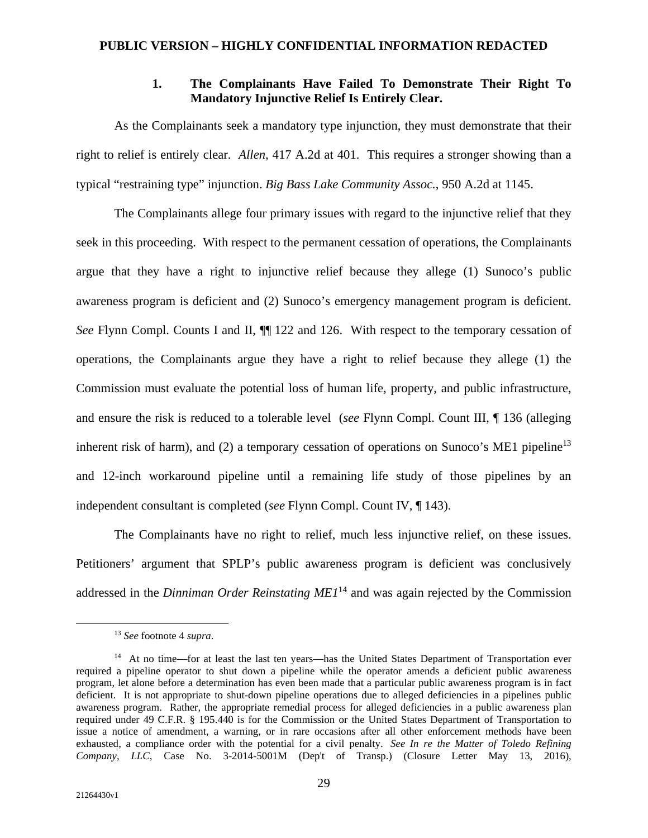# **1. The Complainants Have Failed To Demonstrate Their Right To Mandatory Injunctive Relief Is Entirely Clear.**

As the Complainants seek a mandatory type injunction, they must demonstrate that their right to relief is entirely clear. *Allen*, 417 A.2d at 401. This requires a stronger showing than a typical "restraining type" injunction. *Big Bass Lake Community Assoc.*, 950 A.2d at 1145.

The Complainants allege four primary issues with regard to the injunctive relief that they seek in this proceeding. With respect to the permanent cessation of operations, the Complainants argue that they have a right to injunctive relief because they allege (1) Sunoco's public awareness program is deficient and (2) Sunoco's emergency management program is deficient. *See* Flynn Compl. Counts I and II, ¶¶ 122 and 126. With respect to the temporary cessation of operations, the Complainants argue they have a right to relief because they allege (1) the Commission must evaluate the potential loss of human life, property, and public infrastructure, and ensure the risk is reduced to a tolerable level (*see* Flynn Compl. Count III, ¶ 136 (alleging inherent risk of harm), and (2) a temporary cessation of operations on Sunoco's ME1 pipeline<sup>13</sup> and 12-inch workaround pipeline until a remaining life study of those pipelines by an independent consultant is completed (*see* Flynn Compl. Count IV, ¶ 143).

The Complainants have no right to relief, much less injunctive relief, on these issues. Petitioners' argument that SPLP's public awareness program is deficient was conclusively addressed in the *Dinniman Order Reinstating ME1*<sup>14</sup> and was again rejected by the Commission

<sup>13</sup> *See* footnote 4 *supra*.

<sup>&</sup>lt;sup>14</sup> At no time—for at least the last ten years—has the United States Department of Transportation ever required a pipeline operator to shut down a pipeline while the operator amends a deficient public awareness program, let alone before a determination has even been made that a particular public awareness program is in fact deficient. It is not appropriate to shut-down pipeline operations due to alleged deficiencies in a pipelines public awareness program. Rather, the appropriate remedial process for alleged deficiencies in a public awareness plan required under 49 C.F.R. § 195.440 is for the Commission or the United States Department of Transportation to issue a notice of amendment, a warning, or in rare occasions after all other enforcement methods have been exhausted, a compliance order with the potential for a civil penalty. *See In re the Matter of Toledo Refining Company, LLC*, Case No. 3-2014-5001M (Dep't of Transp.) (Closure Letter May 13, 2016),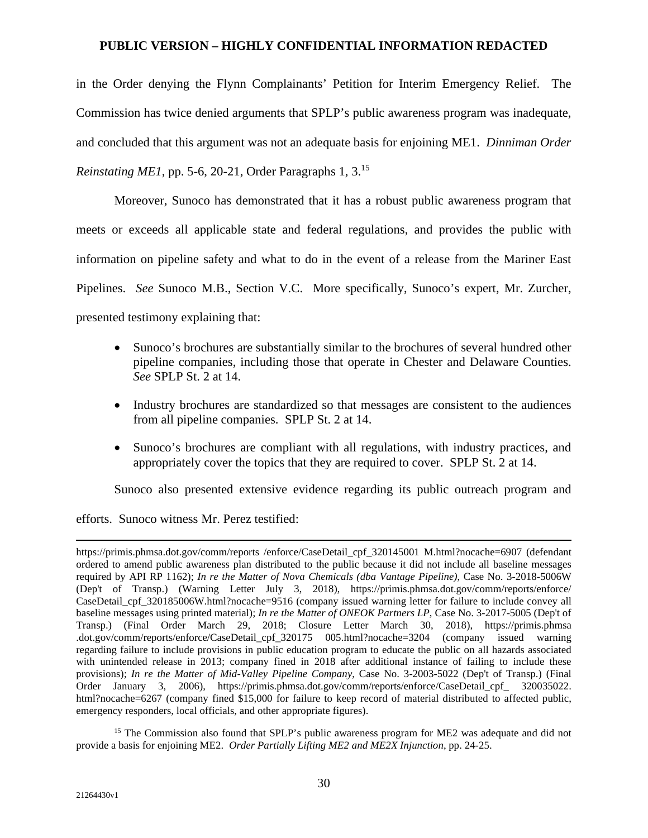in the Order denying the Flynn Complainants' Petition for Interim Emergency Relief. The Commission has twice denied arguments that SPLP's public awareness program was inadequate, and concluded that this argument was not an adequate basis for enjoining ME1. *Dinniman Order Reinstating ME1*, pp. 5-6, 20-21, Order Paragraphs 1, 3.<sup>15</sup>

Moreover, Sunoco has demonstrated that it has a robust public awareness program that meets or exceeds all applicable state and federal regulations, and provides the public with information on pipeline safety and what to do in the event of a release from the Mariner East Pipelines. *See* Sunoco M.B., Section V.C. More specifically, Sunoco's expert, Mr. Zurcher, presented testimony explaining that:

- Sunoco's brochures are substantially similar to the brochures of several hundred other pipeline companies, including those that operate in Chester and Delaware Counties. *See* SPLP St. 2 at 14.
- Industry brochures are standardized so that messages are consistent to the audiences from all pipeline companies. SPLP St. 2 at 14.
- Sunoco's brochures are compliant with all regulations, with industry practices, and appropriately cover the topics that they are required to cover. SPLP St. 2 at 14.

Sunoco also presented extensive evidence regarding its public outreach program and

efforts. Sunoco witness Mr. Perez testified:

<sup>15</sup> The Commission also found that SPLP's public awareness program for ME2 was adequate and did not provide a basis for enjoining ME2. *Order Partially Lifting ME2 and ME2X Injunction*, pp. 24-25.

https://primis.phmsa.dot.gov/comm/reports /enforce/CaseDetail\_cpf\_320145001 M.html?nocache=6907 (defendant ordered to amend public awareness plan distributed to the public because it did not include all baseline messages required by API RP 1162); *In re the Matter of Nova Chemicals (dba Vantage Pipeline)*, Case No. 3-2018-5006W (Dep't of Transp.) (Warning Letter July 3, 2018), https://primis.phmsa.dot.gov/comm/reports/enforce/ CaseDetail cpf 320185006W.html?nocache=9516 (company issued warning letter for failure to include convey all baseline messages using printed material); *In re the Matter of ONEOK Partners LP*, Case No. 3-2017-5005 (Dep't of Transp.) (Final Order March 29, 2018; Closure Letter March 30, 2018), https://primis.phmsa .dot.gov/comm/reports/enforce/CaseDetail\_cpf\_320175 005.html?nocache=3204 (company issued warning regarding failure to include provisions in public education program to educate the public on all hazards associated with unintended release in 2013; company fined in 2018 after additional instance of failing to include these provisions); *In re the Matter of Mid-Valley Pipeline Company*, Case No. 3-2003-5022 (Dep't of Transp.) (Final Order January 3, 2006), https://primis.phmsa.dot.gov/comm/reports/enforce/CaseDetail\_cpf\_ 320035022. html?nocache=6267 (company fined \$15,000 for failure to keep record of material distributed to affected public, emergency responders, local officials, and other appropriate figures).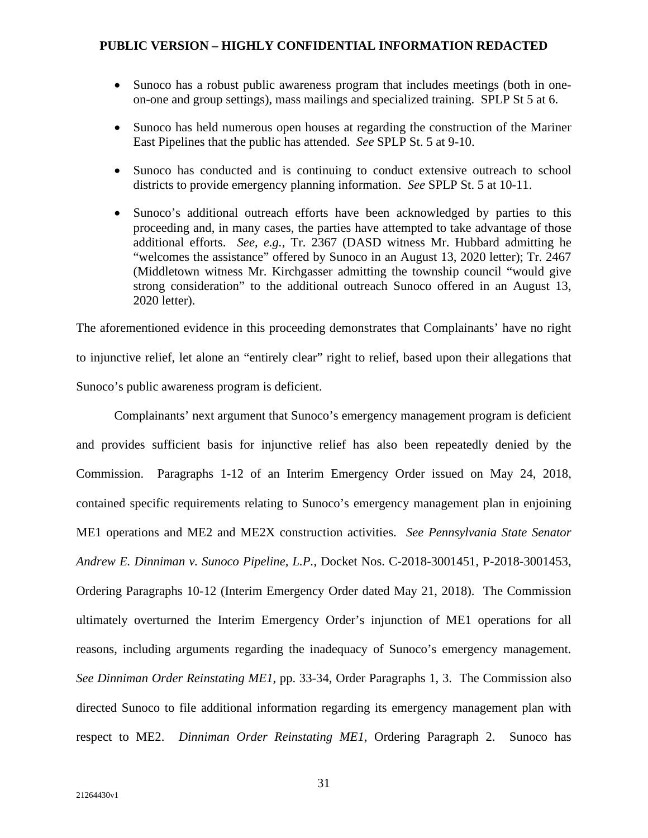- Sunoco has a robust public awareness program that includes meetings (both in oneon-one and group settings), mass mailings and specialized training. SPLP St 5 at 6.
- Sunoco has held numerous open houses at regarding the construction of the Mariner East Pipelines that the public has attended. *See* SPLP St. 5 at 9-10.
- Sunoco has conducted and is continuing to conduct extensive outreach to school districts to provide emergency planning information. *See* SPLP St. 5 at 10-11.
- Sunoco's additional outreach efforts have been acknowledged by parties to this proceeding and, in many cases, the parties have attempted to take advantage of those additional efforts. *See, e.g.*, Tr. 2367 (DASD witness Mr. Hubbard admitting he "welcomes the assistance" offered by Sunoco in an August 13, 2020 letter); Tr. 2467 (Middletown witness Mr. Kirchgasser admitting the township council "would give strong consideration" to the additional outreach Sunoco offered in an August 13, 2020 letter).

The aforementioned evidence in this proceeding demonstrates that Complainants' have no right to injunctive relief, let alone an "entirely clear" right to relief, based upon their allegations that Sunoco's public awareness program is deficient.

Complainants' next argument that Sunoco's emergency management program is deficient and provides sufficient basis for injunctive relief has also been repeatedly denied by the Commission. Paragraphs 1-12 of an Interim Emergency Order issued on May 24, 2018, contained specific requirements relating to Sunoco's emergency management plan in enjoining ME1 operations and ME2 and ME2X construction activities. *See Pennsylvania State Senator Andrew E. Dinniman v. Sunoco Pipeline, L.P.*, Docket Nos. C-2018-3001451, P-2018-3001453, Ordering Paragraphs 10-12 (Interim Emergency Order dated May 21, 2018). The Commission ultimately overturned the Interim Emergency Order's injunction of ME1 operations for all reasons, including arguments regarding the inadequacy of Sunoco's emergency management. *See Dinniman Order Reinstating ME1*, pp. 33-34, Order Paragraphs 1, 3. The Commission also directed Sunoco to file additional information regarding its emergency management plan with respect to ME2. *Dinniman Order Reinstating ME1*, Ordering Paragraph 2. Sunoco has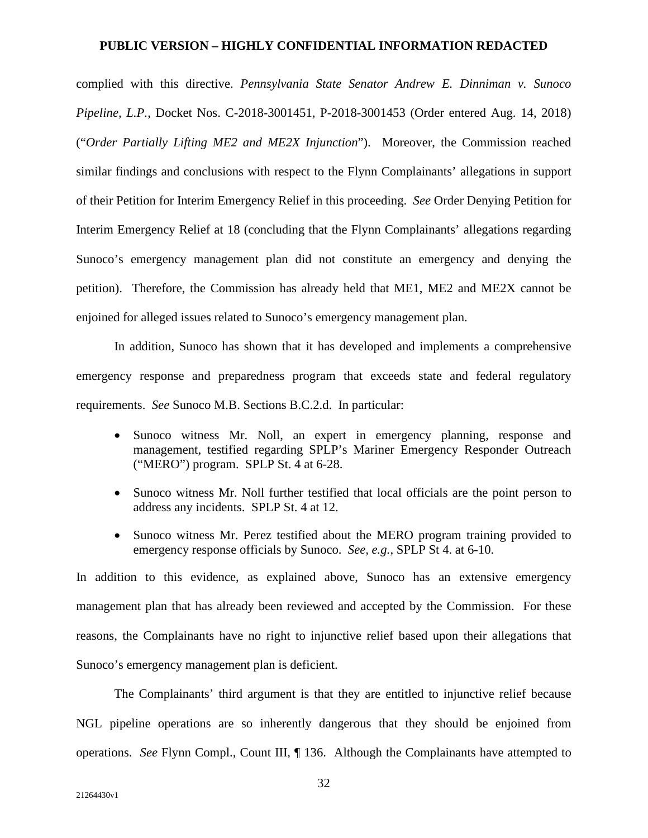complied with this directive. *Pennsylvania State Senator Andrew E. Dinniman v. Sunoco Pipeline, L.P.*, Docket Nos. C-2018-3001451, P-2018-3001453 (Order entered Aug. 14, 2018) ("*Order Partially Lifting ME2 and ME2X Injunction*"). Moreover, the Commission reached similar findings and conclusions with respect to the Flynn Complainants' allegations in support of their Petition for Interim Emergency Relief in this proceeding. *See* Order Denying Petition for Interim Emergency Relief at 18 (concluding that the Flynn Complainants' allegations regarding Sunoco's emergency management plan did not constitute an emergency and denying the petition). Therefore, the Commission has already held that ME1, ME2 and ME2X cannot be enjoined for alleged issues related to Sunoco's emergency management plan.

In addition, Sunoco has shown that it has developed and implements a comprehensive emergency response and preparedness program that exceeds state and federal regulatory requirements. *See* Sunoco M.B. Sections B.C.2.d. In particular:

- Sunoco witness Mr. Noll, an expert in emergency planning, response and management, testified regarding SPLP's Mariner Emergency Responder Outreach ("MERO") program. SPLP St. 4 at 6-28.
- Sunoco witness Mr. Noll further testified that local officials are the point person to address any incidents. SPLP St. 4 at 12.
- Sunoco witness Mr. Perez testified about the MERO program training provided to emergency response officials by Sunoco. *See, e.g.*, SPLP St 4. at 6-10.

In addition to this evidence, as explained above, Sunoco has an extensive emergency management plan that has already been reviewed and accepted by the Commission. For these reasons, the Complainants have no right to injunctive relief based upon their allegations that Sunoco's emergency management plan is deficient.

The Complainants' third argument is that they are entitled to injunctive relief because NGL pipeline operations are so inherently dangerous that they should be enjoined from operations. *See* Flynn Compl., Count III, ¶ 136. Although the Complainants have attempted to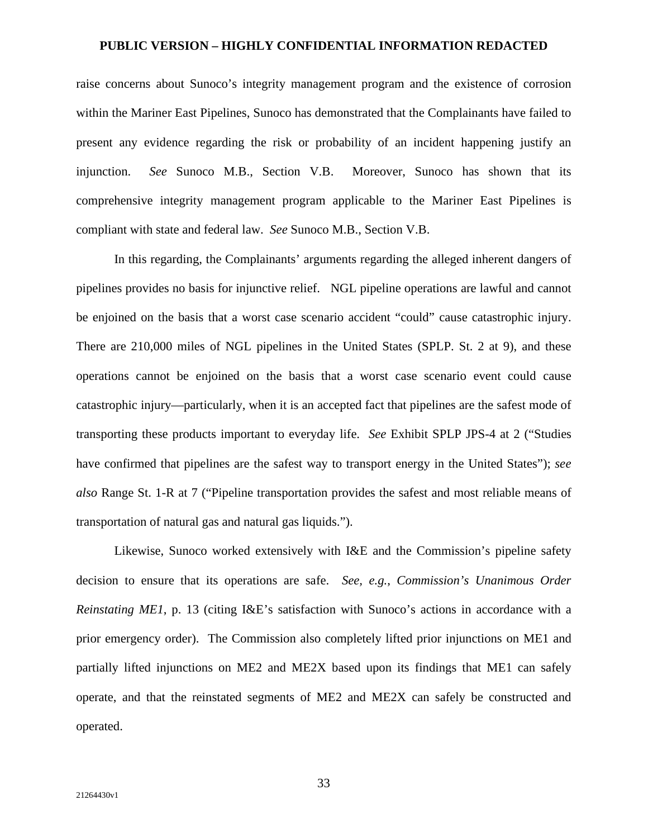raise concerns about Sunoco's integrity management program and the existence of corrosion within the Mariner East Pipelines, Sunoco has demonstrated that the Complainants have failed to present any evidence regarding the risk or probability of an incident happening justify an injunction. *See* Sunoco M.B., Section V.B. Moreover, Sunoco has shown that its comprehensive integrity management program applicable to the Mariner East Pipelines is compliant with state and federal law. *See* Sunoco M.B., Section V.B.

In this regarding, the Complainants' arguments regarding the alleged inherent dangers of pipelines provides no basis for injunctive relief. NGL pipeline operations are lawful and cannot be enjoined on the basis that a worst case scenario accident "could" cause catastrophic injury. There are 210,000 miles of NGL pipelines in the United States (SPLP. St. 2 at 9), and these operations cannot be enjoined on the basis that a worst case scenario event could cause catastrophic injury—particularly, when it is an accepted fact that pipelines are the safest mode of transporting these products important to everyday life. *See* Exhibit SPLP JPS-4 at 2 ("Studies have confirmed that pipelines are the safest way to transport energy in the United States"); *see also* Range St. 1-R at 7 ("Pipeline transportation provides the safest and most reliable means of transportation of natural gas and natural gas liquids.").

Likewise, Sunoco worked extensively with I&E and the Commission's pipeline safety decision to ensure that its operations are safe. *See, e.g.*, *Commission's Unanimous Order Reinstating ME1*, p. 13 (citing I&E's satisfaction with Sunoco's actions in accordance with a prior emergency order). The Commission also completely lifted prior injunctions on ME1 and partially lifted injunctions on ME2 and ME2X based upon its findings that ME1 can safely operate, and that the reinstated segments of ME2 and ME2X can safely be constructed and operated.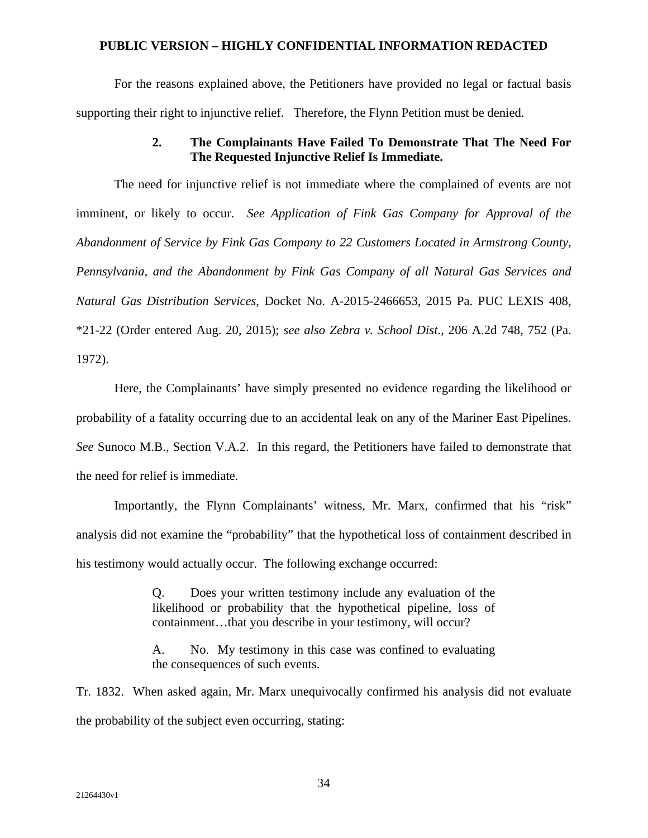For the reasons explained above, the Petitioners have provided no legal or factual basis supporting their right to injunctive relief. Therefore, the Flynn Petition must be denied.

# **2. The Complainants Have Failed To Demonstrate That The Need For The Requested Injunctive Relief Is Immediate.**

The need for injunctive relief is not immediate where the complained of events are not imminent, or likely to occur. *See Application of Fink Gas Company for Approval of the Abandonment of Service by Fink Gas Company to 22 Customers Located in Armstrong County, Pennsylvania, and the Abandonment by Fink Gas Company of all Natural Gas Services and Natural Gas Distribution Services*, Docket No. A-2015-2466653, 2015 Pa. PUC LEXIS 408, \*21-22 (Order entered Aug. 20, 2015); *see also Zebra v. School Dist.*, 206 A.2d 748, 752 (Pa. 1972).

Here, the Complainants' have simply presented no evidence regarding the likelihood or probability of a fatality occurring due to an accidental leak on any of the Mariner East Pipelines. *See* Sunoco M.B., Section V.A.2. In this regard, the Petitioners have failed to demonstrate that the need for relief is immediate.

Importantly, the Flynn Complainants' witness, Mr. Marx, confirmed that his "risk" analysis did not examine the "probability" that the hypothetical loss of containment described in his testimony would actually occur. The following exchange occurred:

> Q. Does your written testimony include any evaluation of the likelihood or probability that the hypothetical pipeline, loss of containment…that you describe in your testimony, will occur?

> A. No. My testimony in this case was confined to evaluating the consequences of such events.

Tr. 1832. When asked again, Mr. Marx unequivocally confirmed his analysis did not evaluate the probability of the subject even occurring, stating: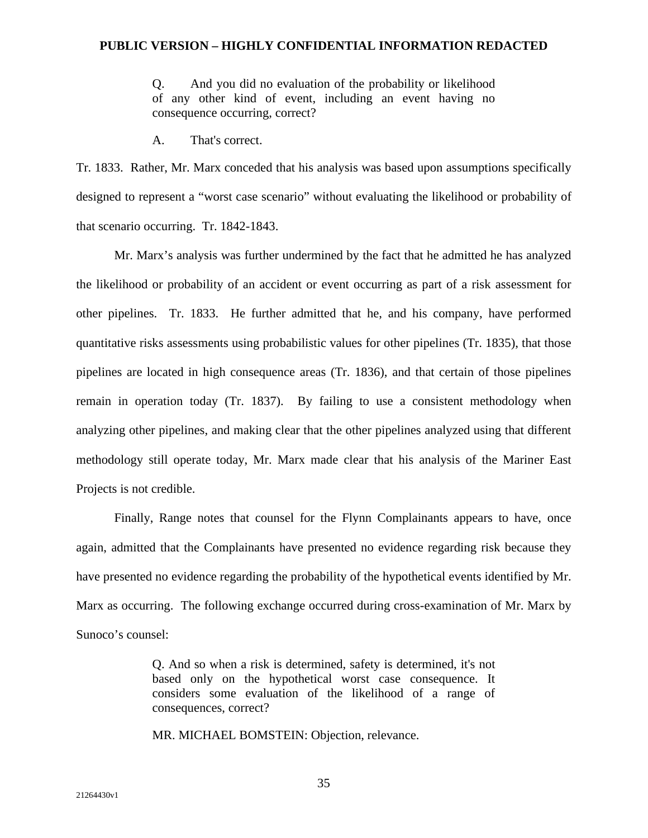Q. And you did no evaluation of the probability or likelihood of any other kind of event, including an event having no consequence occurring, correct?

A. That's correct.

Tr. 1833. Rather, Mr. Marx conceded that his analysis was based upon assumptions specifically designed to represent a "worst case scenario" without evaluating the likelihood or probability of that scenario occurring. Tr. 1842-1843.

Mr. Marx's analysis was further undermined by the fact that he admitted he has analyzed the likelihood or probability of an accident or event occurring as part of a risk assessment for other pipelines. Tr. 1833. He further admitted that he, and his company, have performed quantitative risks assessments using probabilistic values for other pipelines (Tr. 1835), that those pipelines are located in high consequence areas (Tr. 1836), and that certain of those pipelines remain in operation today (Tr. 1837). By failing to use a consistent methodology when analyzing other pipelines, and making clear that the other pipelines analyzed using that different methodology still operate today, Mr. Marx made clear that his analysis of the Mariner East Projects is not credible.

Finally, Range notes that counsel for the Flynn Complainants appears to have, once again, admitted that the Complainants have presented no evidence regarding risk because they have presented no evidence regarding the probability of the hypothetical events identified by Mr. Marx as occurring. The following exchange occurred during cross-examination of Mr. Marx by Sunoco's counsel:

> Q. And so when a risk is determined, safety is determined, it's not based only on the hypothetical worst case consequence. It considers some evaluation of the likelihood of a range of consequences, correct?

MR. MICHAEL BOMSTEIN: Objection, relevance.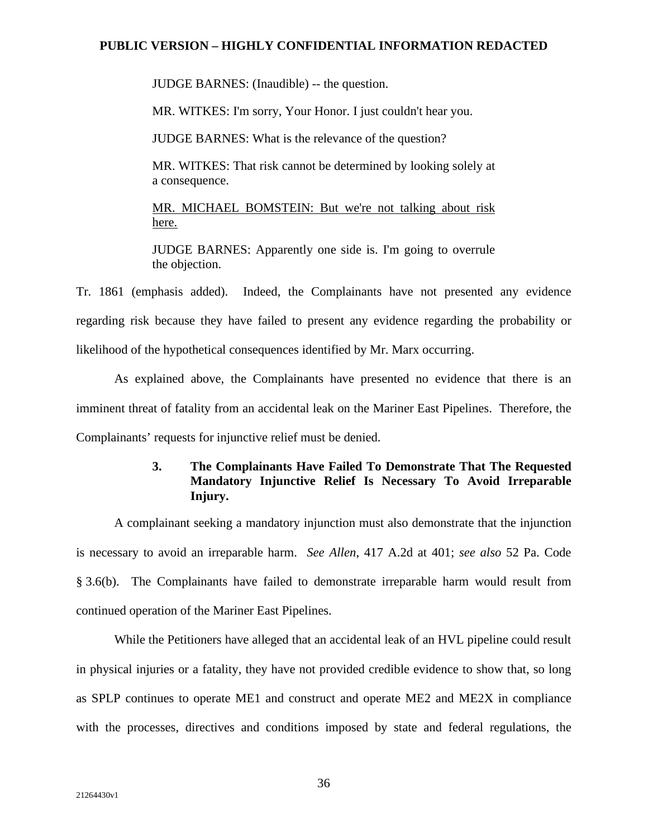JUDGE BARNES: (Inaudible) -- the question.

MR. WITKES: I'm sorry, Your Honor. I just couldn't hear you.

JUDGE BARNES: What is the relevance of the question?

MR. WITKES: That risk cannot be determined by looking solely at a consequence.

MR. MICHAEL BOMSTEIN: But we're not talking about risk here.

JUDGE BARNES: Apparently one side is. I'm going to overrule the objection.

Tr. 1861 (emphasis added). Indeed, the Complainants have not presented any evidence regarding risk because they have failed to present any evidence regarding the probability or likelihood of the hypothetical consequences identified by Mr. Marx occurring.

As explained above, the Complainants have presented no evidence that there is an imminent threat of fatality from an accidental leak on the Mariner East Pipelines. Therefore, the Complainants' requests for injunctive relief must be denied.

# **3. The Complainants Have Failed To Demonstrate That The Requested Mandatory Injunctive Relief Is Necessary To Avoid Irreparable Injury.**

A complainant seeking a mandatory injunction must also demonstrate that the injunction is necessary to avoid an irreparable harm. *See Allen*, 417 A.2d at 401; *see also* 52 Pa. Code § 3.6(b). The Complainants have failed to demonstrate irreparable harm would result from continued operation of the Mariner East Pipelines.

While the Petitioners have alleged that an accidental leak of an HVL pipeline could result in physical injuries or a fatality, they have not provided credible evidence to show that, so long as SPLP continues to operate ME1 and construct and operate ME2 and ME2X in compliance with the processes, directives and conditions imposed by state and federal regulations, the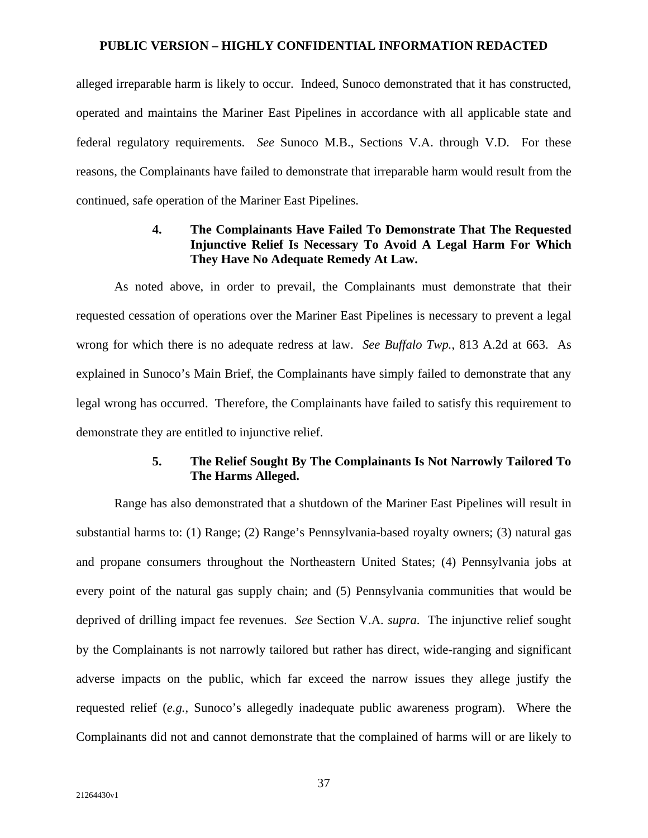alleged irreparable harm is likely to occur. Indeed, Sunoco demonstrated that it has constructed, operated and maintains the Mariner East Pipelines in accordance with all applicable state and federal regulatory requirements. *See* Sunoco M.B., Sections V.A. through V.D. For these reasons, the Complainants have failed to demonstrate that irreparable harm would result from the continued, safe operation of the Mariner East Pipelines.

# **4. The Complainants Have Failed To Demonstrate That The Requested Injunctive Relief Is Necessary To Avoid A Legal Harm For Which They Have No Adequate Remedy At Law.**

As noted above, in order to prevail, the Complainants must demonstrate that their requested cessation of operations over the Mariner East Pipelines is necessary to prevent a legal wrong for which there is no adequate redress at law. *See Buffalo Twp.*, 813 A.2d at 663. As explained in Sunoco's Main Brief, the Complainants have simply failed to demonstrate that any legal wrong has occurred. Therefore, the Complainants have failed to satisfy this requirement to demonstrate they are entitled to injunctive relief.

## **5. The Relief Sought By The Complainants Is Not Narrowly Tailored To The Harms Alleged.**

Range has also demonstrated that a shutdown of the Mariner East Pipelines will result in substantial harms to: (1) Range; (2) Range's Pennsylvania-based royalty owners; (3) natural gas and propane consumers throughout the Northeastern United States; (4) Pennsylvania jobs at every point of the natural gas supply chain; and (5) Pennsylvania communities that would be deprived of drilling impact fee revenues. *See* Section V.A. *supra*. The injunctive relief sought by the Complainants is not narrowly tailored but rather has direct, wide-ranging and significant adverse impacts on the public, which far exceed the narrow issues they allege justify the requested relief (*e.g.*, Sunoco's allegedly inadequate public awareness program). Where the Complainants did not and cannot demonstrate that the complained of harms will or are likely to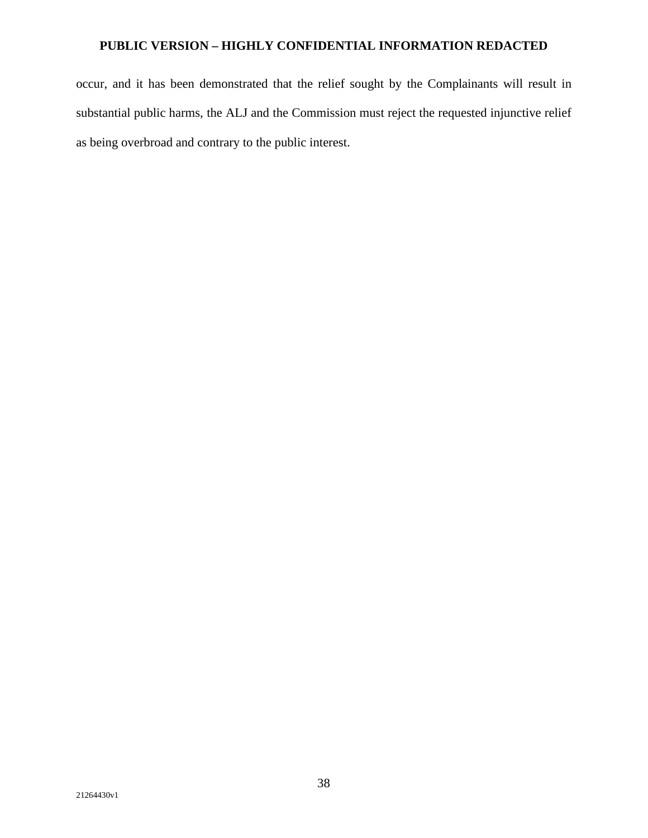occur, and it has been demonstrated that the relief sought by the Complainants will result in substantial public harms, the ALJ and the Commission must reject the requested injunctive relief as being overbroad and contrary to the public interest.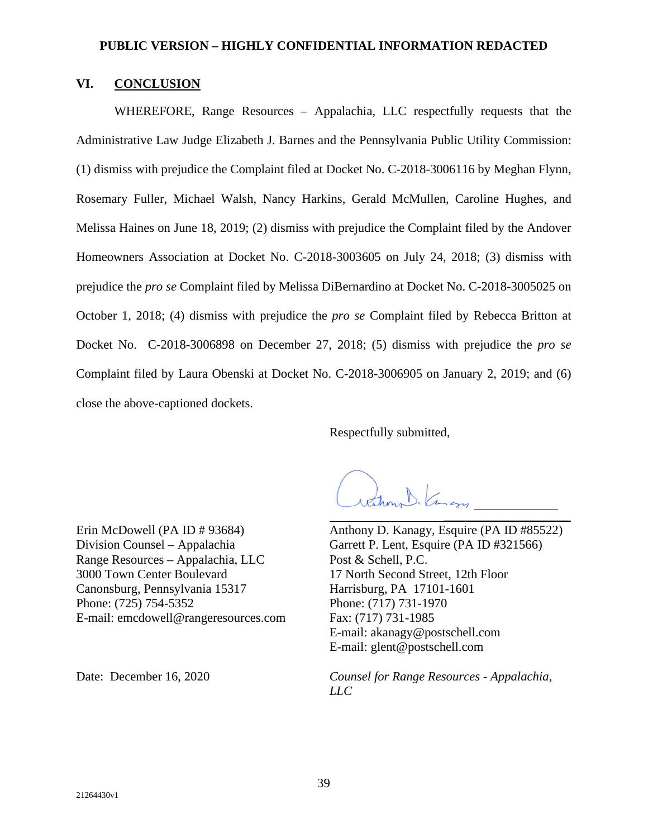# **VI. CONCLUSION**

WHEREFORE, Range Resources – Appalachia, LLC respectfully requests that the Administrative Law Judge Elizabeth J. Barnes and the Pennsylvania Public Utility Commission: (1) dismiss with prejudice the Complaint filed at Docket No. C-2018-3006116 by Meghan Flynn, Rosemary Fuller, Michael Walsh, Nancy Harkins, Gerald McMullen, Caroline Hughes, and Melissa Haines on June 18, 2019; (2) dismiss with prejudice the Complaint filed by the Andover Homeowners Association at Docket No. C-2018-3003605 on July 24, 2018; (3) dismiss with prejudice the *pro se* Complaint filed by Melissa DiBernardino at Docket No. C-2018-3005025 on October 1, 2018; (4) dismiss with prejudice the *pro se* Complaint filed by Rebecca Britton at Docket No. C-2018-3006898 on December 27, 2018; (5) dismiss with prejudice the *pro se*  Complaint filed by Laura Obenski at Docket No. C-2018-3006905 on January 2, 2019; and (6) close the above-captioned dockets.

Respectfully submitted,

hours Kangy

Erin McDowell (PA ID # 93684) Division Counsel – Appalachia Range Resources – Appalachia, LLC 3000 Town Center Boulevard Canonsburg, Pennsylvania 15317 Phone: (725) 754-5352 E-mail: emcdowell@rangeresources.com

Anthony D. Kanagy, Esquire (PA ID #85522) Garrett P. Lent, Esquire (PA ID #321566) Post & Schell, P.C. 17 North Second Street, 12th Floor Harrisburg, PA 17101-1601 Phone: (717) 731-1970 Fax: (717) 731-1985 E-mail: akanagy@postschell.com E-mail: glent@postschell.com

\_\_\_\_\_\_\_\_\_\_\_\_\_\_\_\_\_\_\_\_

Date: December 16, 2020 *Counsel for Range Resources - Appalachia, LLC*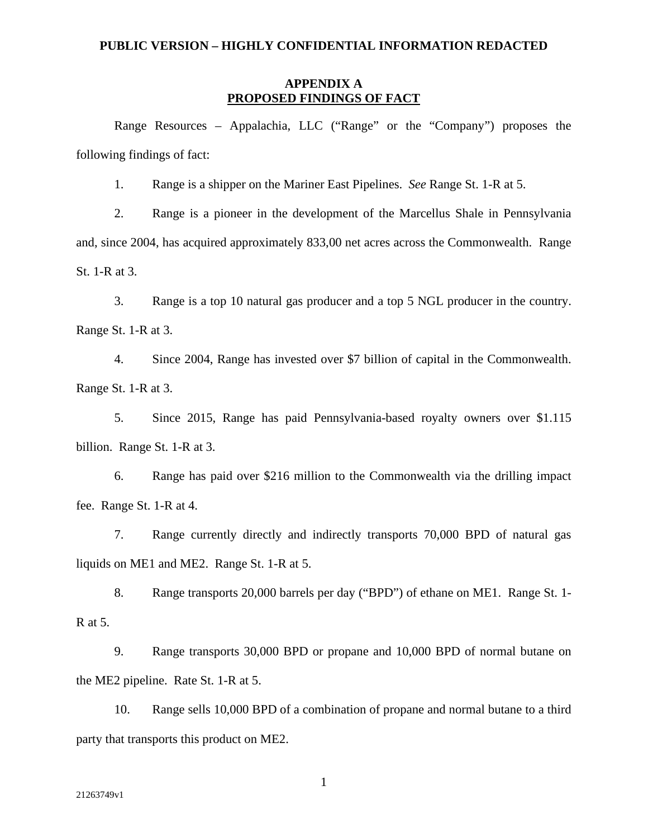## **APPENDIX A PROPOSED FINDINGS OF FACT**

Range Resources – Appalachia, LLC ("Range" or the "Company") proposes the following findings of fact:

1. Range is a shipper on the Mariner East Pipelines. *See* Range St. 1-R at 5.

2. Range is a pioneer in the development of the Marcellus Shale in Pennsylvania and, since 2004, has acquired approximately 833,00 net acres across the Commonwealth. Range St. 1-R at 3.

3. Range is a top 10 natural gas producer and a top 5 NGL producer in the country. Range St. 1-R at 3.

4. Since 2004, Range has invested over \$7 billion of capital in the Commonwealth. Range St. 1-R at 3.

5. Since 2015, Range has paid Pennsylvania-based royalty owners over \$1.115 billion. Range St. 1-R at 3.

6. Range has paid over \$216 million to the Commonwealth via the drilling impact fee. Range St. 1-R at 4.

7. Range currently directly and indirectly transports 70,000 BPD of natural gas liquids on ME1 and ME2. Range St. 1-R at 5.

8. Range transports 20,000 barrels per day ("BPD") of ethane on ME1. Range St. 1- R at 5.

9. Range transports 30,000 BPD or propane and 10,000 BPD of normal butane on the ME2 pipeline. Rate St. 1-R at 5.

10. Range sells 10,000 BPD of a combination of propane and normal butane to a third party that transports this product on ME2.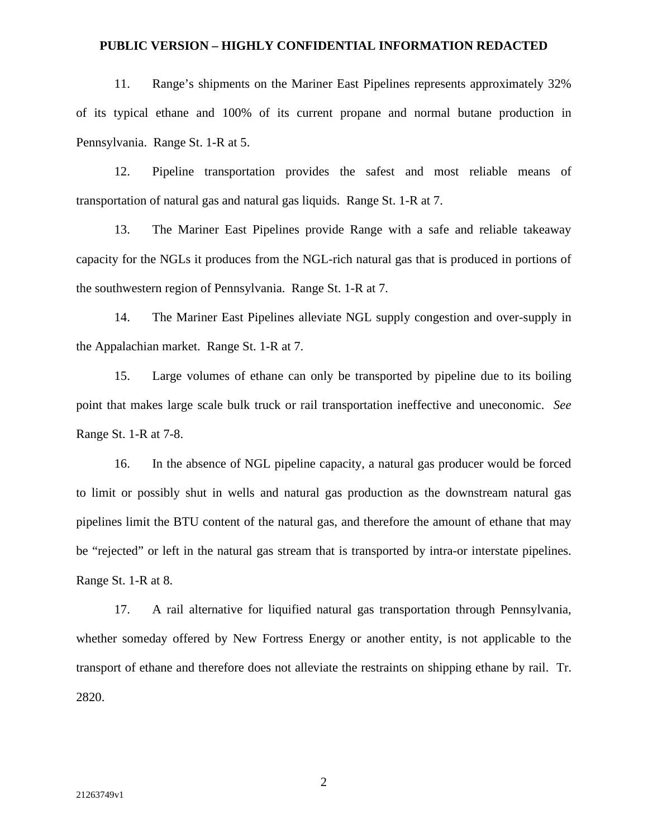11. Range's shipments on the Mariner East Pipelines represents approximately 32% of its typical ethane and 100% of its current propane and normal butane production in Pennsylvania. Range St. 1-R at 5.

12. Pipeline transportation provides the safest and most reliable means of transportation of natural gas and natural gas liquids. Range St. 1-R at 7.

13. The Mariner East Pipelines provide Range with a safe and reliable takeaway capacity for the NGLs it produces from the NGL-rich natural gas that is produced in portions of the southwestern region of Pennsylvania. Range St. 1-R at 7.

14. The Mariner East Pipelines alleviate NGL supply congestion and over-supply in the Appalachian market. Range St. 1-R at 7.

15. Large volumes of ethane can only be transported by pipeline due to its boiling point that makes large scale bulk truck or rail transportation ineffective and uneconomic. *See*  Range St. 1-R at 7-8.

16. In the absence of NGL pipeline capacity, a natural gas producer would be forced to limit or possibly shut in wells and natural gas production as the downstream natural gas pipelines limit the BTU content of the natural gas, and therefore the amount of ethane that may be "rejected" or left in the natural gas stream that is transported by intra-or interstate pipelines. Range St. 1-R at 8.

17. A rail alternative for liquified natural gas transportation through Pennsylvania, whether someday offered by New Fortress Energy or another entity, is not applicable to the transport of ethane and therefore does not alleviate the restraints on shipping ethane by rail. Tr. 2820.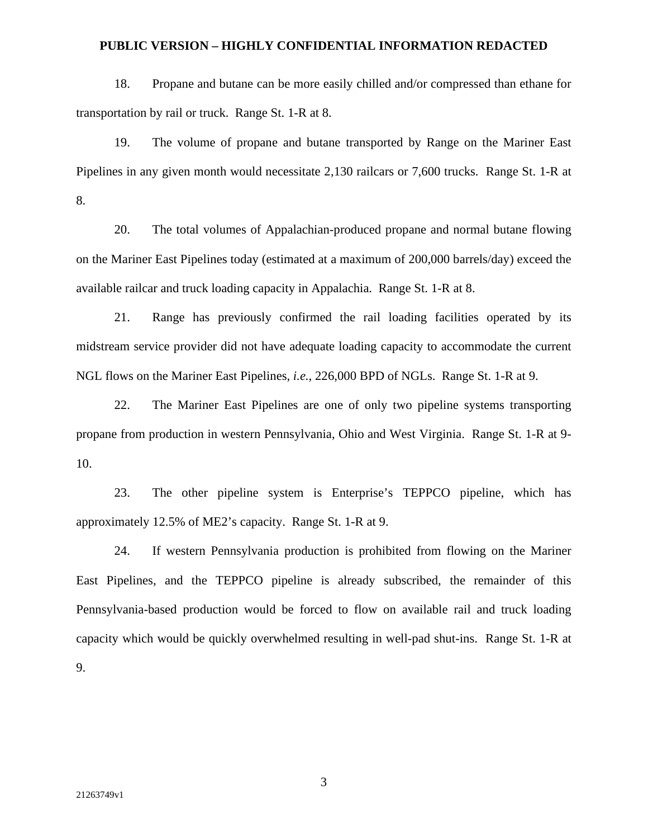18. Propane and butane can be more easily chilled and/or compressed than ethane for transportation by rail or truck. Range St. 1-R at 8.

19. The volume of propane and butane transported by Range on the Mariner East Pipelines in any given month would necessitate 2,130 railcars or 7,600 trucks. Range St. 1-R at 8.

20. The total volumes of Appalachian-produced propane and normal butane flowing on the Mariner East Pipelines today (estimated at a maximum of 200,000 barrels/day) exceed the available railcar and truck loading capacity in Appalachia. Range St. 1-R at 8.

21. Range has previously confirmed the rail loading facilities operated by its midstream service provider did not have adequate loading capacity to accommodate the current NGL flows on the Mariner East Pipelines, *i.e.*, 226,000 BPD of NGLs. Range St. 1-R at 9.

22. The Mariner East Pipelines are one of only two pipeline systems transporting propane from production in western Pennsylvania, Ohio and West Virginia. Range St. 1-R at 9- 10.

23. The other pipeline system is Enterprise's TEPPCO pipeline, which has approximately 12.5% of ME2's capacity. Range St. 1-R at 9.

24. If western Pennsylvania production is prohibited from flowing on the Mariner East Pipelines, and the TEPPCO pipeline is already subscribed, the remainder of this Pennsylvania-based production would be forced to flow on available rail and truck loading capacity which would be quickly overwhelmed resulting in well-pad shut-ins. Range St. 1-R at 9.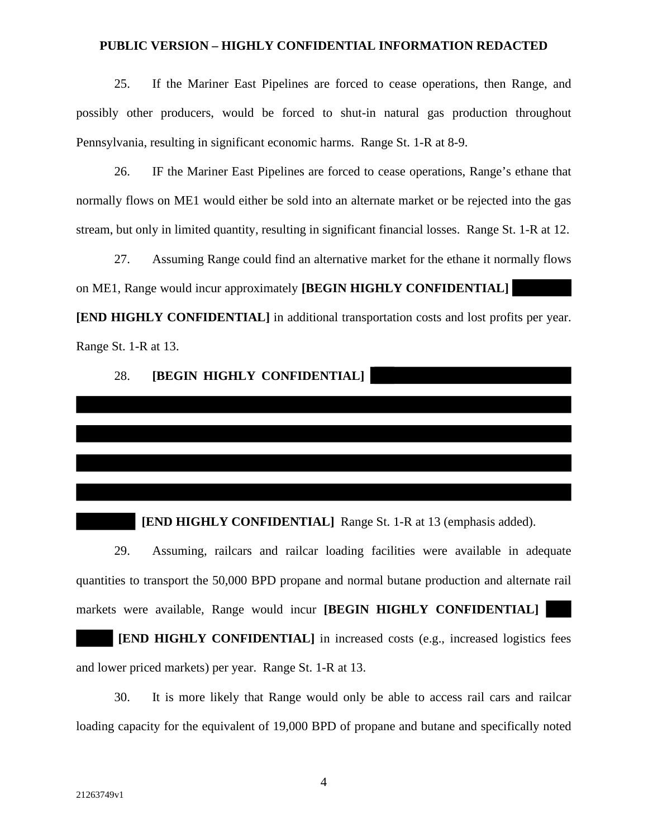25. If the Mariner East Pipelines are forced to cease operations, then Range, and possibly other producers, would be forced to shut-in natural gas production throughout Pennsylvania, resulting in significant economic harms. Range St. 1-R at 8-9.

26. IF the Mariner East Pipelines are forced to cease operations, Range's ethane that normally flows on ME1 would either be sold into an alternate market or be rejected into the gas stream, but only in limited quantity, resulting in significant financial losses. Range St. 1-R at 12.

27. Assuming Range could find an alternative market for the ethane it normally flows on ME1, Range would incur approximately **[BEGIN HIGHLY CONFIDENTIAL]**

**[END HIGHLY CONFIDENTIAL]** in additional transportation costs and lost profits per year. Range St. 1-R at 13.

## 28. **[BEGIN HIGHLY CONFIDENTIAL]**

#### **[END HIGHLY CONFIDENTIAL]** Range St. 1-R at 13 (emphasis added).

29. Assuming, railcars and railcar loading facilities were available in adequate quantities to transport the 50,000 BPD propane and normal butane production and alternate rail markets were available, Range would incur **[BEGIN HIGHLY CONFIDENTIAL]**

**[END HIGHLY CONFIDENTIAL]** in increased costs (e.g., increased logistics fees and lower priced markets) per year. Range St. 1-R at 13.

30. It is more likely that Range would only be able to access rail cars and railcar loading capacity for the equivalent of 19,000 BPD of propane and butane and specifically noted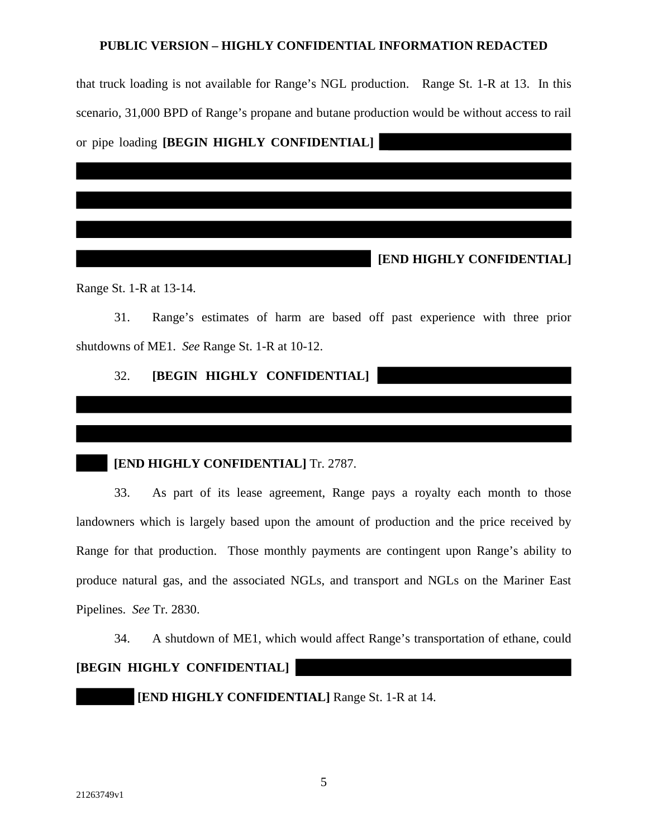that truck loading is not available for Range's NGL production. Range St. 1-R at 13. In this scenario, 31,000 BPD of Range's propane and butane production would be without access to rail or pipe loading **[BEGIN HIGHLY CONFIDENTIAL]**

**[END HIGHLY CONFIDENTIAL]** 

Range St. 1-R at 13-14.

31. Range's estimates of harm are based off past experience with three prior shutdowns of ME1. *See* Range St. 1-R at 10-12.

# 32. **[BEGIN HIGHLY CONFIDENTIAL]**

## **[END HIGHLY CONFIDENTIAL] Tr. 2787.**

33. As part of its lease agreement, Range pays a royalty each month to those landowners which is largely based upon the amount of production and the price received by Range for that production. Those monthly payments are contingent upon Range's ability to produce natural gas, and the associated NGLs, and transport and NGLs on the Mariner East Pipelines. *See* Tr. 2830.

34. A shutdown of ME1, which would affect Range's transportation of ethane, could

## **[BEGIN HIGHLY CONFIDENTIAL]**

**[END HIGHLY CONFIDENTIAL]** Range St. 1-R at 14.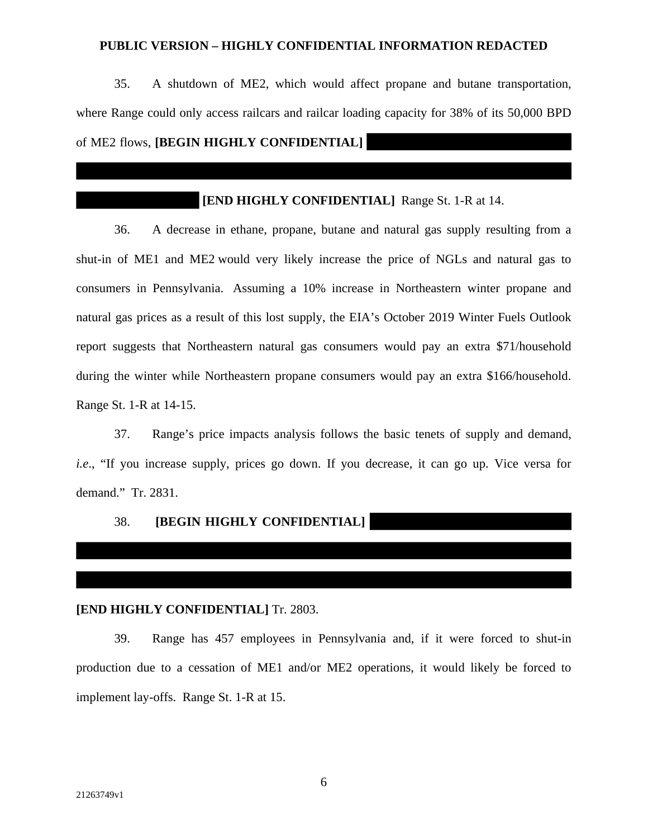35. A shutdown of ME2, which would affect propane and butane transportation, where Range could only access railcars and railcar loading capacity for 38% of its 50,000 BPD of ME2 flows, **[BEGIN HIGHLY CONFIDENTIAL]** 

# **[END HIGHLY CONFIDENTIAL]** Range St. 1-R at 14.

36. A decrease in ethane, propane, butane and natural gas supply resulting from a shut-in of ME1 and ME2 would very likely increase the price of NGLs and natural gas to consumers in Pennsylvania. Assuming a 10% increase in Northeastern winter propane and natural gas prices as a result of this lost supply, the EIA's October 2019 Winter Fuels Outlook report suggests that Northeastern natural gas consumers would pay an extra \$71/household during the winter while Northeastern propane consumers would pay an extra \$166/household. Range St. 1-R at 14-15.

37. Range's price impacts analysis follows the basic tenets of supply and demand, *i.e.*, "If you increase supply, prices go down. If you decrease, it can go up. Vice versa for demand." Tr. 2831.

# 38. **[BEGIN HIGHLY CONFIDENTIAL]**

### **[END HIGHLY CONFIDENTIAL]** Tr. 2803.

39. Range has 457 employees in Pennsylvania and, if it were forced to shut-in production due to a cessation of ME1 and/or ME2 operations, it would likely be forced to implement lay-offs. Range St. 1-R at 15.

 $\overline{\phantom{a}}$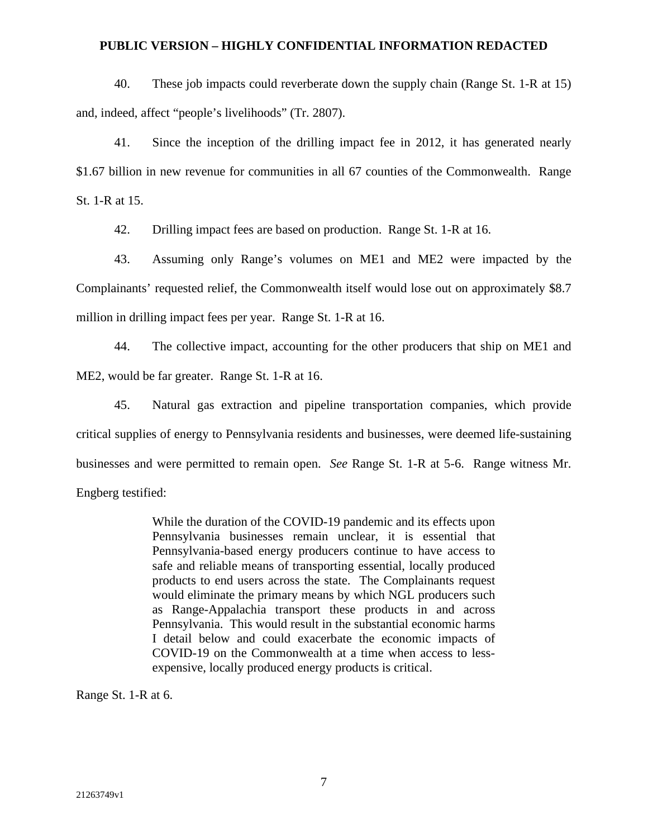40. These job impacts could reverberate down the supply chain (Range St. 1-R at 15) and, indeed, affect "people's livelihoods" (Tr. 2807).

41. Since the inception of the drilling impact fee in 2012, it has generated nearly \$1.67 billion in new revenue for communities in all 67 counties of the Commonwealth. Range St. 1-R at 15.

42. Drilling impact fees are based on production. Range St. 1-R at 16.

43. Assuming only Range's volumes on ME1 and ME2 were impacted by the Complainants' requested relief, the Commonwealth itself would lose out on approximately \$8.7 million in drilling impact fees per year. Range St. 1-R at 16.

44. The collective impact, accounting for the other producers that ship on ME1 and ME2, would be far greater. Range St. 1-R at 16.

45. Natural gas extraction and pipeline transportation companies, which provide critical supplies of energy to Pennsylvania residents and businesses, were deemed life-sustaining businesses and were permitted to remain open. *See* Range St. 1-R at 5-6. Range witness Mr. Engberg testified:

> While the duration of the COVID-19 pandemic and its effects upon Pennsylvania businesses remain unclear, it is essential that Pennsylvania-based energy producers continue to have access to safe and reliable means of transporting essential, locally produced products to end users across the state. The Complainants request would eliminate the primary means by which NGL producers such as Range-Appalachia transport these products in and across Pennsylvania. This would result in the substantial economic harms I detail below and could exacerbate the economic impacts of COVID-19 on the Commonwealth at a time when access to lessexpensive, locally produced energy products is critical.

Range St. 1-R at 6.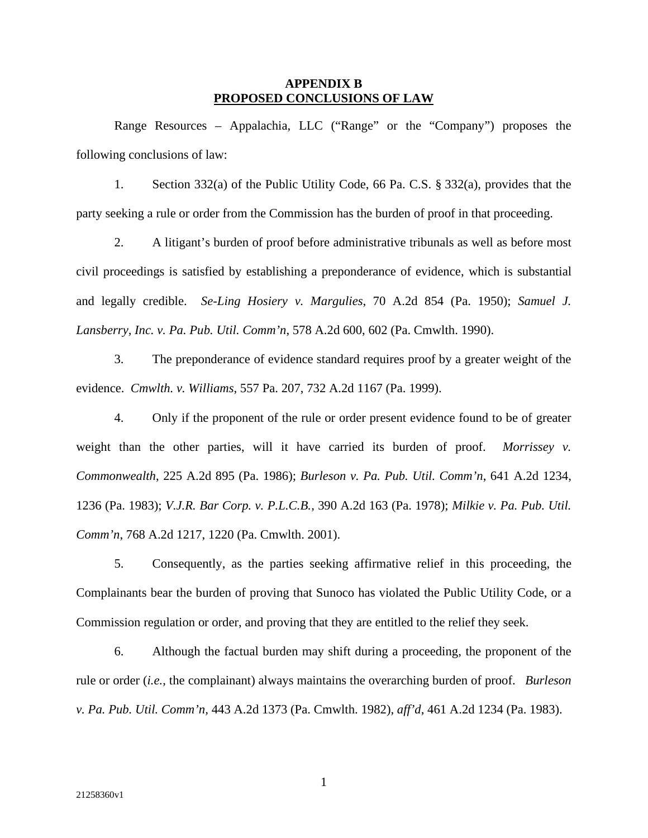## **APPENDIX B PROPOSED CONCLUSIONS OF LAW**

Range Resources – Appalachia, LLC ("Range" or the "Company") proposes the following conclusions of law:

1. Section 332(a) of the Public Utility Code, 66 Pa. C.S. § 332(a), provides that the party seeking a rule or order from the Commission has the burden of proof in that proceeding.

2. A litigant's burden of proof before administrative tribunals as well as before most civil proceedings is satisfied by establishing a preponderance of evidence, which is substantial and legally credible. *Se-Ling Hosiery v. Margulies*, 70 A.2d 854 (Pa. 1950); *Samuel J. Lansberry, Inc. v. Pa. Pub. Util. Comm'n*, 578 A.2d 600, 602 (Pa. Cmwlth. 1990).

3. The preponderance of evidence standard requires proof by a greater weight of the evidence. *Cmwlth. v. Williams*, 557 Pa. 207, 732 A.2d 1167 (Pa. 1999).

4. Only if the proponent of the rule or order present evidence found to be of greater weight than the other parties, will it have carried its burden of proof. *Morrissey v. Commonwealth*, 225 A.2d 895 (Pa. 1986); *Burleson v. Pa. Pub. Util. Comm'n*, 641 A.2d 1234, 1236 (Pa. 1983); *V.J.R. Bar Corp. v. P.L.C.B.*, 390 A.2d 163 (Pa. 1978); *Milkie v. Pa. Pub. Util. Comm'n*, 768 A.2d 1217, 1220 (Pa. Cmwlth. 2001).

5. Consequently, as the parties seeking affirmative relief in this proceeding, the Complainants bear the burden of proving that Sunoco has violated the Public Utility Code, or a Commission regulation or order, and proving that they are entitled to the relief they seek.

6. Although the factual burden may shift during a proceeding, the proponent of the rule or order (*i.e.*, the complainant) always maintains the overarching burden of proof. *Burleson v. Pa. Pub. Util. Comm'n,* 443 A.2d 1373 (Pa. Cmwlth. 1982), *aff'd*, 461 A.2d 1234 (Pa. 1983).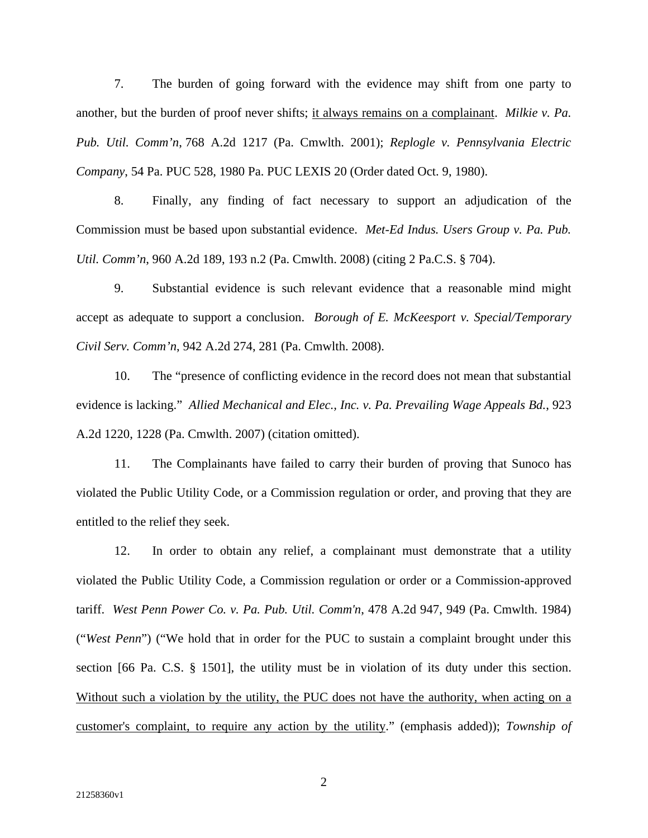7. The burden of going forward with the evidence may shift from one party to another, but the burden of proof never shifts; it always remains on a complainant. *Milkie v. Pa. Pub. Util. Comm'n*, 768 A.2d 1217 (Pa. Cmwlth. 2001); *Replogle v. Pennsylvania Electric Company*, 54 Pa. PUC 528, 1980 Pa. PUC LEXIS 20 (Order dated Oct. 9, 1980).

8. Finally, any finding of fact necessary to support an adjudication of the Commission must be based upon substantial evidence. *Met-Ed Indus. Users Group v. Pa. Pub. Util. Comm'n*, 960 A.2d 189, 193 n.2 (Pa. Cmwlth. 2008) (citing 2 Pa.C.S. § 704).

9. Substantial evidence is such relevant evidence that a reasonable mind might accept as adequate to support a conclusion. *Borough of E. McKeesport v. Special/Temporary Civil Serv. Comm'n*, 942 A.2d 274, 281 (Pa. Cmwlth. 2008).

10. The "presence of conflicting evidence in the record does not mean that substantial evidence is lacking." *Allied Mechanical and Elec., Inc. v. Pa. Prevailing Wage Appeals Bd.*, 923 A.2d 1220, 1228 (Pa. Cmwlth. 2007) (citation omitted).

11. The Complainants have failed to carry their burden of proving that Sunoco has violated the Public Utility Code, or a Commission regulation or order, and proving that they are entitled to the relief they seek.

12. In order to obtain any relief, a complainant must demonstrate that a utility violated the Public Utility Code, a Commission regulation or order or a Commission-approved tariff. *West Penn Power Co. v. Pa. Pub. Util. Comm'n*, 478 A.2d 947, 949 (Pa. Cmwlth. 1984) ("*West Penn*") ("We hold that in order for the PUC to sustain a complaint brought under this section [66 Pa. C.S. § 1501], the utility must be in violation of its duty under this section. Without such a violation by the utility, the PUC does not have the authority, when acting on a customer's complaint, to require any action by the utility." (emphasis added)); *Township of*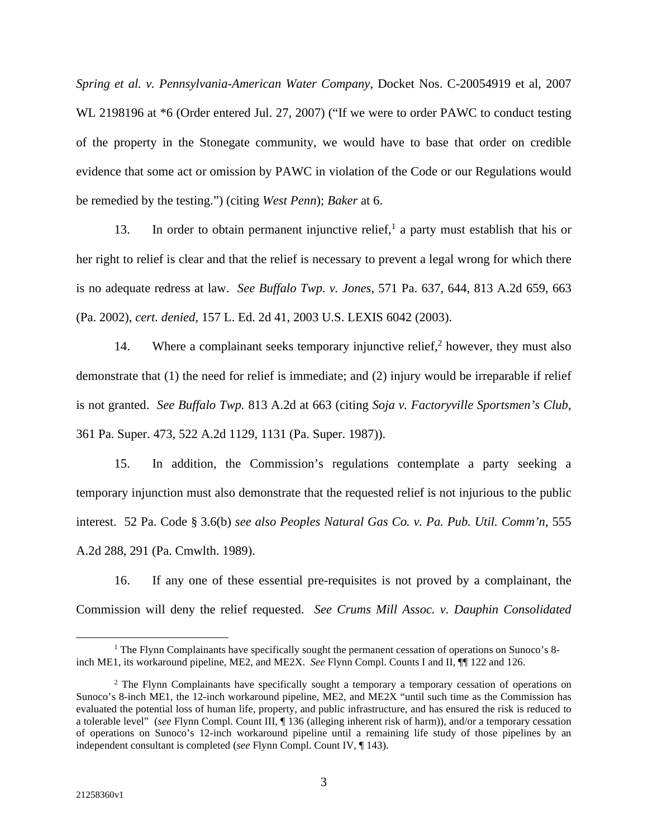*Spring et al. v. Pennsylvania-American Water Company*, Docket Nos. C-20054919 et al, 2007 WL 2198196 at  $*6$  (Order entered Jul. 27, 2007) ("If we were to order PAWC to conduct testing of the property in the Stonegate community, we would have to base that order on credible evidence that some act or omission by PAWC in violation of the Code or our Regulations would be remedied by the testing.") (citing *West Penn*); *Baker* at 6.

13. In order to obtain permanent injunctive relief,<sup>1</sup> a party must establish that his or her right to relief is clear and that the relief is necessary to prevent a legal wrong for which there is no adequate redress at law. *See Buffalo Twp. v. Jones*, 571 Pa. 637, 644, 813 A.2d 659, 663 (Pa. 2002), *cert. denied*, 157 L. Ed. 2d 41, 2003 U.S. LEXIS 6042 (2003).

14. Where a complainant seeks temporary injunctive relief,<sup>2</sup> however, they must also demonstrate that (1) the need for relief is immediate; and (2) injury would be irreparable if relief is not granted. *See Buffalo Twp.* 813 A.2d at 663 (citing *Soja v. Factoryville Sportsmen's Club*, 361 Pa. Super. 473, 522 A.2d 1129, 1131 (Pa. Super. 1987)).

15. In addition, the Commission's regulations contemplate a party seeking a temporary injunction must also demonstrate that the requested relief is not injurious to the public interest. 52 Pa. Code § 3.6(b) *see also Peoples Natural Gas Co. v. Pa. Pub. Util. Comm'n*, 555 A.2d 288, 291 (Pa. Cmwlth. 1989).

16. If any one of these essential pre-requisites is not proved by a complainant, the Commission will deny the relief requested. *See Crums Mill Assoc. v. Dauphin Consolidated* 

<sup>&</sup>lt;sup>1</sup> The Flynn Complainants have specifically sought the permanent cessation of operations on Sunoco's 8inch ME1, its workaround pipeline, ME2, and ME2X. *See* Flynn Compl. Counts I and II, ¶¶ 122 and 126.

<sup>&</sup>lt;sup>2</sup> The Flynn Complainants have specifically sought a temporary a temporary cessation of operations on Sunoco's 8-inch ME1, the 12-inch workaround pipeline, ME2, and ME2X "until such time as the Commission has evaluated the potential loss of human life, property, and public infrastructure, and has ensured the risk is reduced to a tolerable level" (*see* Flynn Compl. Count III, ¶ 136 (alleging inherent risk of harm)), and/or a temporary cessation of operations on Sunoco's 12-inch workaround pipeline until a remaining life study of those pipelines by an independent consultant is completed (*see* Flynn Compl. Count IV, ¶ 143).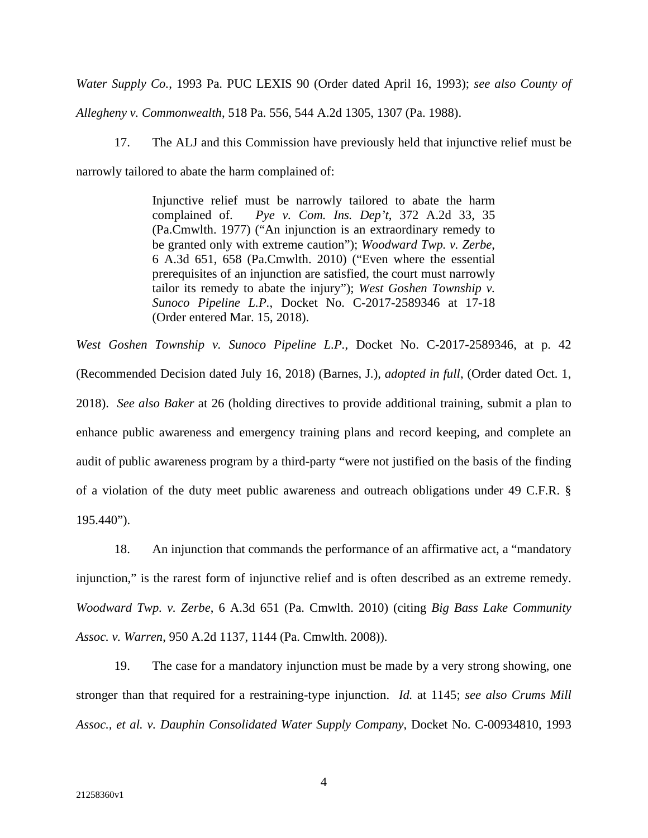*Water Supply Co.*, 1993 Pa. PUC LEXIS 90 (Order dated April 16, 1993); *see also County of* 

*Allegheny v. Commonwealth*, 518 Pa. 556, 544 A.2d 1305, 1307 (Pa. 1988).

17. The ALJ and this Commission have previously held that injunctive relief must be

narrowly tailored to abate the harm complained of:

Injunctive relief must be narrowly tailored to abate the harm complained of. *Pye v. Com. Ins. Dep't*, 372 A.2d 33, 35 (Pa.Cmwlth. 1977) ("An injunction is an extraordinary remedy to be granted only with extreme caution"); *Woodward Twp. v. Zerbe*, 6 A.3d 651, 658 (Pa.Cmwlth. 2010) ("Even where the essential prerequisites of an injunction are satisfied, the court must narrowly tailor its remedy to abate the injury"); *West Goshen Township v. Sunoco Pipeline L.P.*, Docket No. C-2017-2589346 at 17-18 (Order entered Mar. 15, 2018).

*West Goshen Township v. Sunoco Pipeline L.P.*, Docket No. C-2017-2589346, at p. 42 (Recommended Decision dated July 16, 2018) (Barnes, J.), *adopted in full*, (Order dated Oct. 1, 2018). *See also Baker* at 26 (holding directives to provide additional training, submit a plan to enhance public awareness and emergency training plans and record keeping, and complete an audit of public awareness program by a third-party "were not justified on the basis of the finding of a violation of the duty meet public awareness and outreach obligations under 49 C.F.R. §  $195.440"$ ).

18. An injunction that commands the performance of an affirmative act, a "mandatory injunction," is the rarest form of injunctive relief and is often described as an extreme remedy. *Woodward Twp. v. Zerbe*, 6 A.3d 651 (Pa. Cmwlth. 2010) (citing *Big Bass Lake Community Assoc. v. Warren*, 950 A.2d 1137, 1144 (Pa. Cmwlth. 2008)).

19. The case for a mandatory injunction must be made by a very strong showing, one stronger than that required for a restraining-type injunction. *Id.* at 1145; *see also Crums Mill Assoc., et al. v. Dauphin Consolidated Water Supply Company*, Docket No. C-00934810, 1993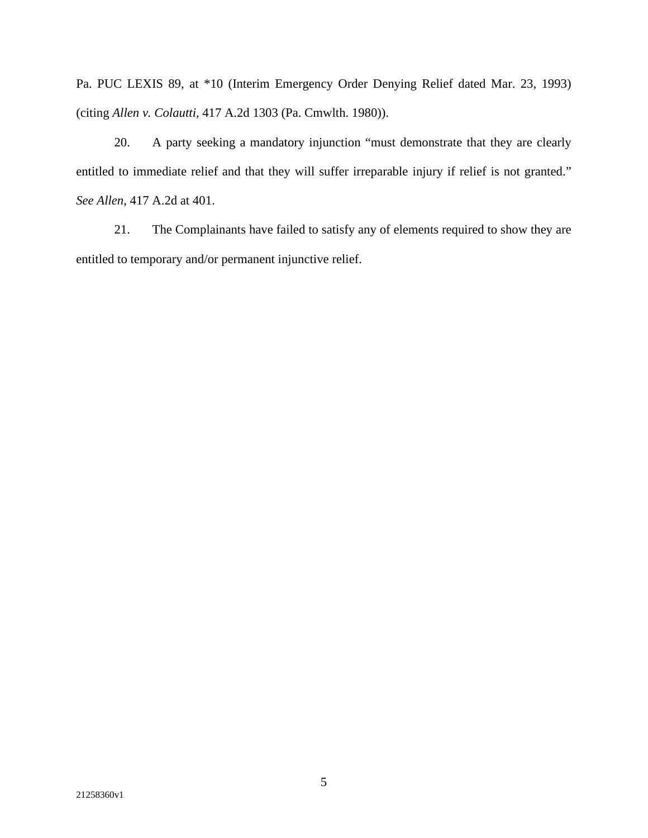Pa. PUC LEXIS 89, at \*10 (Interim Emergency Order Denying Relief dated Mar. 23, 1993) (citing *Allen v. Colautti*, 417 A.2d 1303 (Pa. Cmwlth. 1980)).

20. A party seeking a mandatory injunction "must demonstrate that they are clearly entitled to immediate relief and that they will suffer irreparable injury if relief is not granted." *See Allen*, 417 A.2d at 401.

21. The Complainants have failed to satisfy any of elements required to show they are entitled to temporary and/or permanent injunctive relief.